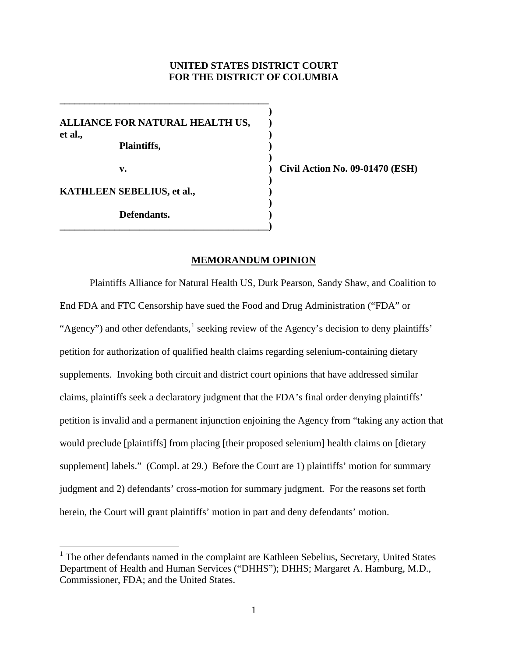# **UNITED STATES DISTRICT COURT FOR THE DISTRICT OF COLUMBIA**

**)**

**)**

**)** 

**)**

**ALLIANCE FOR NATURAL HEALTH US, ) et al., ) Plaintiffs, ) v. ) Civil Action No. 09-01470 (ESH) KATHLEEN SEBELIUS, et al., ) Defendants. )**

**\_\_\_\_\_\_\_\_\_\_\_\_\_\_\_\_\_\_\_\_\_\_\_\_\_\_\_\_\_\_\_\_\_\_\_\_\_\_\_\_\_\_)**

**\_\_\_\_\_\_\_\_\_\_\_\_\_\_\_\_\_\_\_\_\_\_\_\_\_\_\_\_\_\_\_\_\_\_\_\_\_\_\_\_\_\_**

## **MEMORANDUM OPINION**

Plaintiffs Alliance for Natural Health US, Durk Pearson, Sandy Shaw, and Coalition to End FDA and FTC Censorship have sued the Food and Drug Administration ("FDA" or "Agency") and other defendants, <sup>[1](#page-0-0)</sup> seeking review of the Agency's decision to deny plaintiffs' petition for authorization of qualified health claims regarding selenium-containing dietary supplements. Invoking both circuit and district court opinions that have addressed similar claims, plaintiffs seek a declaratory judgment that the FDA's final order denying plaintiffs' petition is invalid and a permanent injunction enjoining the Agency from "taking any action that would preclude [plaintiffs] from placing [their proposed selenium] health claims on [dietary supplement] labels." (Compl. at 29.) Before the Court are 1) plaintiffs' motion for summary judgment and 2) defendants' cross-motion for summary judgment. For the reasons set forth herein, the Court will grant plaintiffs' motion in part and deny defendants' motion.

<span id="page-0-0"></span><sup>&</sup>lt;sup>1</sup> The other defendants named in the complaint are Kathleen Sebelius, Secretary, United States Department of Health and Human Services ("DHHS"); DHHS; Margaret A. Hamburg, M.D., Commissioner, FDA; and the United States.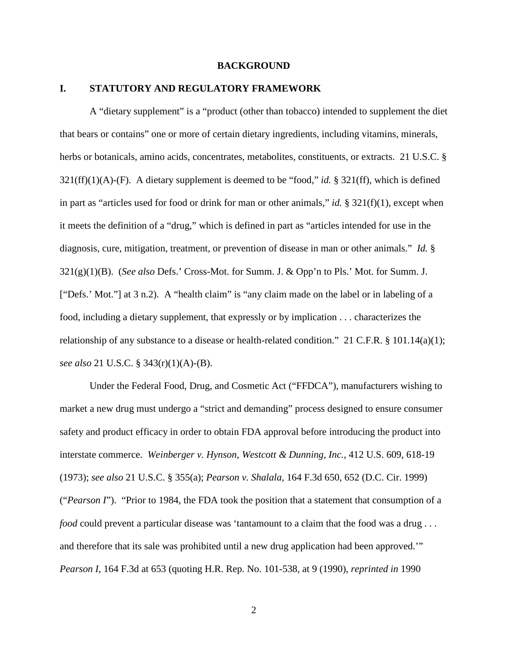#### **BACKGROUND**

# **I. STATUTORY AND REGULATORY FRAMEWORK**

A "dietary supplement" is a "product (other than tobacco) intended to supplement the diet that bears or contains" one or more of certain dietary ingredients, including vitamins, minerals, herbs or botanicals, amino acids, concentrates, metabolites, constituents, or extracts. 21 U.S.C. § 321(ff)(1)(A)-(F). A dietary supplement is deemed to be "food," *id.* § 321(ff), which is defined in part as "articles used for food or drink for man or other animals," *id.* § 321(f)(1), except when it meets the definition of a "drug," which is defined in part as "articles intended for use in the diagnosis, cure, mitigation, treatment, or prevention of disease in man or other animals." *Id.* § 321(g)(1)(B). (*See also* Defs.' Cross-Mot. for Summ. J. & Opp'n to Pls.' Mot. for Summ. J. ["Defs.' Mot."] at 3 n.2). A "health claim" is "any claim made on the label or in labeling of a food, including a dietary supplement, that expressly or by implication . . . characterizes the relationship of any substance to a disease or health-related condition." 21 C.F.R. § 101.14(a)(1); *see also* 21 U.S.C. § 343(r)(1)(A)-(B).

Under the Federal Food, Drug, and Cosmetic Act ("FFDCA"), manufacturers wishing to market a new drug must undergo a "strict and demanding" process designed to ensure consumer safety and product efficacy in order to obtain FDA approval before introducing the product into interstate commerce. *Weinberger v. Hynson, Westcott & Dunning, Inc.*, 412 U.S. 609, 618-19 (1973); *see also* 21 U.S.C. § 355(a); *Pearson v. Shalala*, 164 F.3d 650, 652 (D.C. Cir. 1999) ("*Pearson I*"). "Prior to 1984, the FDA took the position that a statement that consumption of a *food* could prevent a particular disease was 'tantamount to a claim that the food was a drug . . . and therefore that its sale was prohibited until a new drug application had been approved.'" *Pearson I*, 164 F.3d at 653 (quoting H.R. Rep. No. 101-538, at 9 (1990), *reprinted in* 1990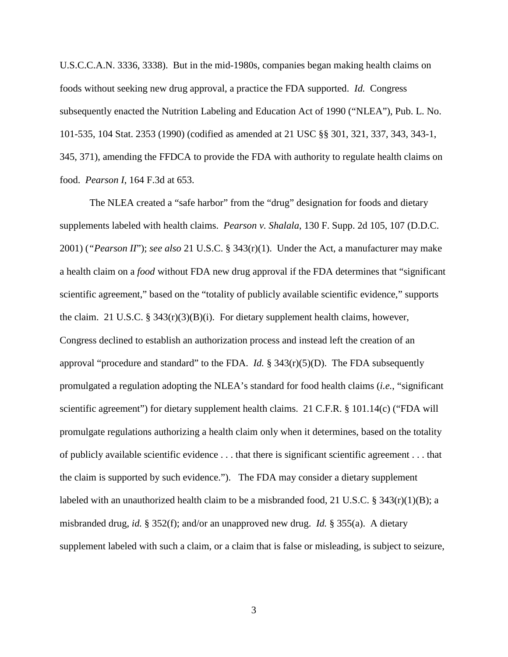U.S.C.C.A.N. 3336, 3338). But in the mid-1980s, companies began making health claims on foods without seeking new drug approval, a practice the FDA supported. *Id.* Congress subsequently enacted the Nutrition Labeling and Education Act of 1990 ("NLEA"), Pub. L. No. 101-535, 104 Stat. 2353 (1990) (codified as amended at 21 USC §§ 301, 321, 337, 343, 343-1, 345, 371), amending the FFDCA to provide the FDA with authority to regulate health claims on food. *Pearson I*, 164 F.3d at 653.

The NLEA created a "safe harbor" from the "drug" designation for foods and dietary supplements labeled with health claims. *Pearson v. Shalala*, 130 F. Supp. 2d 105, 107 (D.D.C. 2001) (*"Pearson II*"); *see also* 21 U.S.C. § 343(r)(1). Under the Act, a manufacturer may make a health claim on a *food* without FDA new drug approval if the FDA determines that "significant scientific agreement," based on the "totality of publicly available scientific evidence," supports the claim. 21 U.S.C. §  $343(r)(3)(B)(i)$ . For dietary supplement health claims, however, Congress declined to establish an authorization process and instead left the creation of an approval "procedure and standard" to the FDA. *Id.*  $\S 343(r)(5)(D)$ . The FDA subsequently promulgated a regulation adopting the NLEA's standard for food health claims (*i.e.*, "significant scientific agreement") for dietary supplement health claims. 21 C.F.R. § 101.14(c) ("FDA will promulgate regulations authorizing a health claim only when it determines, based on the totality of publicly available scientific evidence . . . that there is significant scientific agreement . . . that the claim is supported by such evidence."). The FDA may consider a dietary supplement labeled with an unauthorized health claim to be a misbranded food, 21 U.S.C. § 343(r)(1)(B); a misbranded drug, *id.* § 352(f); and/or an unapproved new drug. *Id.* § 355(a). A dietary supplement labeled with such a claim, or a claim that is false or misleading, is subject to seizure,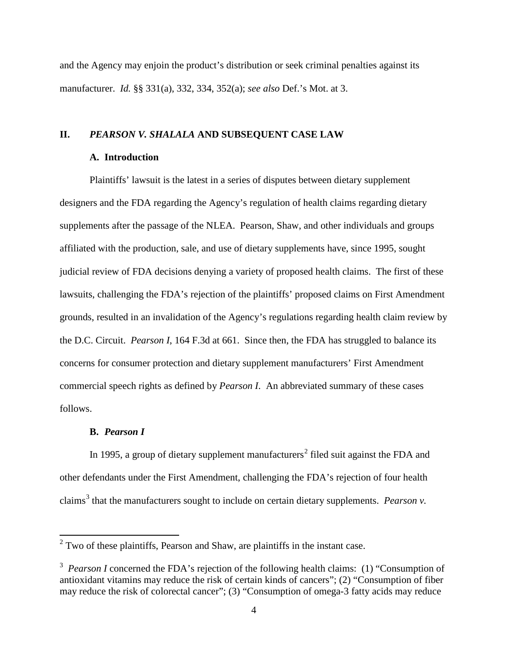and the Agency may enjoin the product's distribution or seek criminal penalties against its manufacturer. *Id.* §§ 331(a), 332, 334, 352(a); *see also* Def.'s Mot. at 3.

# **II.** *PEARSON V. SHALALA* **AND SUBSEQUENT CASE LAW**

### **A. Introduction**

Plaintiffs' lawsuit is the latest in a series of disputes between dietary supplement designers and the FDA regarding the Agency's regulation of health claims regarding dietary supplements after the passage of the NLEA. Pearson, Shaw, and other individuals and groups affiliated with the production, sale, and use of dietary supplements have, since 1995, sought judicial review of FDA decisions denying a variety of proposed health claims. The first of these lawsuits, challenging the FDA's rejection of the plaintiffs' proposed claims on First Amendment grounds, resulted in an invalidation of the Agency's regulations regarding health claim review by the D.C. Circuit. *Pearson I*, 164 F.3d at 661. Since then, the FDA has struggled to balance its concerns for consumer protection and dietary supplement manufacturers' First Amendment commercial speech rights as defined by *Pearson I*. An abbreviated summary of these cases follows.

#### **B.** *Pearson I*

In 1995, a group of dietary supplement manufacturers<sup>[2](#page-3-0)</sup> filed suit against the FDA and other defendants under the First Amendment, challenging the FDA's rejection of four health claims<sup>[3](#page-3-1)</sup> that the manufacturers sought to include on certain dietary supplements. *Pearson v*.

<span id="page-3-0"></span> $2$  Two of these plaintiffs, Pearson and Shaw, are plaintiffs in the instant case.

<span id="page-3-1"></span><sup>&</sup>lt;sup>3</sup> Pearson I concerned the FDA's rejection of the following health claims: (1) "Consumption of antioxidant vitamins may reduce the risk of certain kinds of cancers"; (2) "Consumption of fiber may reduce the risk of colorectal cancer"; (3) "Consumption of omega-3 fatty acids may reduce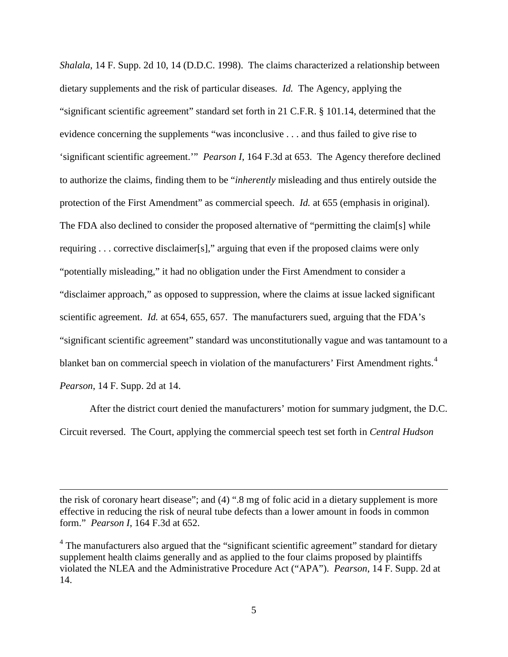*Shalala*, 14 F. Supp. 2d 10, 14 (D.D.C. 1998). The claims characterized a relationship between dietary supplements and the risk of particular diseases. *Id.* The Agency, applying the "significant scientific agreement" standard set forth in 21 C.F.R. § 101.14, determined that the evidence concerning the supplements "was inconclusive . . . and thus failed to give rise to 'significant scientific agreement.'" *Pearson I*, 164 F.3d at 653. The Agency therefore declined to authorize the claims, finding them to be "*inherently* misleading and thus entirely outside the protection of the First Amendment" as commercial speech. *Id.* at 655 (emphasis in original). The FDA also declined to consider the proposed alternative of "permitting the claim[s] while requiring . . . corrective disclaimer[s]," arguing that even if the proposed claims were only "potentially misleading," it had no obligation under the First Amendment to consider a "disclaimer approach," as opposed to suppression, where the claims at issue lacked significant scientific agreement. *Id.* at 654, 655, 657. The manufacturers sued, arguing that the FDA's "significant scientific agreement" standard was unconstitutionally vague and was tantamount to a blanket ban on commercial speech in violation of the manufacturers' First Amendment rights.<sup>[4](#page-4-0)</sup> *Pearson*, 14 F. Supp. 2d at 14.

After the district court denied the manufacturers' motion for summary judgment, the D.C. Circuit reversed. The Court, applying the commercial speech test set forth in *Central Hudson* 

the risk of coronary heart disease"; and (4) ".8 mg of folic acid in a dietary supplement is more effective in reducing the risk of neural tube defects than a lower amount in foods in common form." *Pearson I*, 164 F.3d at 652.

 $\overline{a}$ 

<span id="page-4-0"></span> $4$  The manufacturers also argued that the "significant scientific agreement" standard for dietary supplement health claims generally and as applied to the four claims proposed by plaintiffs violated the NLEA and the Administrative Procedure Act ("APA"). *Pearson*, 14 F. Supp. 2d at 14.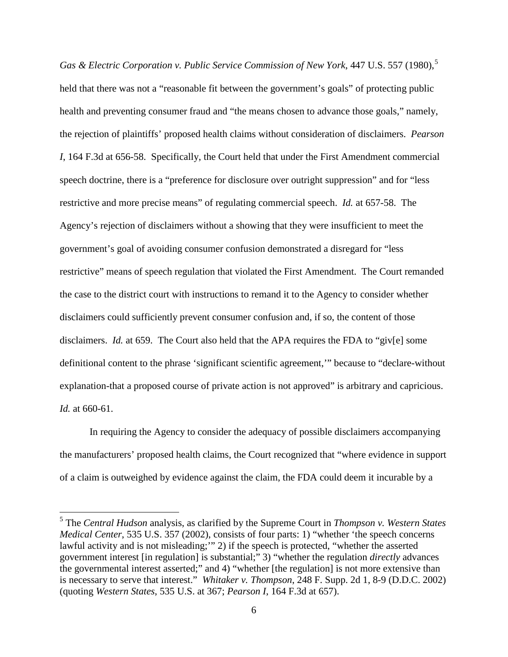*Gas & Electric Corporation v. Public Service Commission of New York, 447 U.S. [5](#page-5-0)57 (1980),*<sup>5</sup> held that there was not a "reasonable fit between the government's goals" of protecting public health and preventing consumer fraud and "the means chosen to advance those goals," namely, the rejection of plaintiffs' proposed health claims without consideration of disclaimers. *Pearson I*, 164 F.3d at 656-58. Specifically, the Court held that under the First Amendment commercial speech doctrine, there is a "preference for disclosure over outright suppression" and for "less restrictive and more precise means" of regulating commercial speech. *Id.* at 657-58. The Agency's rejection of disclaimers without a showing that they were insufficient to meet the government's goal of avoiding consumer confusion demonstrated a disregard for "less restrictive" means of speech regulation that violated the First Amendment. The Court remanded the case to the district court with instructions to remand it to the Agency to consider whether disclaimers could sufficiently prevent consumer confusion and, if so, the content of those disclaimers. *Id.* at 659. The Court also held that the APA requires the FDA to "giv[e] some definitional content to the phrase 'significant scientific agreement,'" because to "declare-without explanation-that a proposed course of private action is not approved" is arbitrary and capricious. *Id.* at 660-61.

In requiring the Agency to consider the adequacy of possible disclaimers accompanying the manufacturers' proposed health claims, the Court recognized that "where evidence in support of a claim is outweighed by evidence against the claim, the FDA could deem it incurable by a

<span id="page-5-0"></span> <sup>5</sup> The *Central Hudson* analysis, as clarified by the Supreme Court in *Thompson v. Western States Medical Center*, 535 U.S. 357 (2002), consists of four parts: 1) "whether 'the speech concerns lawful activity and is not misleading;'" 2) if the speech is protected, "whether the asserted government interest [in regulation] is substantial;" 3) "whether the regulation *directly* advances the governmental interest asserted;" and 4) "whether [the regulation] is not more extensive than is necessary to serve that interest." *Whitaker v. Thompson*, 248 F. Supp. 2d 1, 8-9 (D.D.C. 2002) (quoting *Western States*, 535 U.S. at 367; *Pearson I*, 164 F.3d at 657).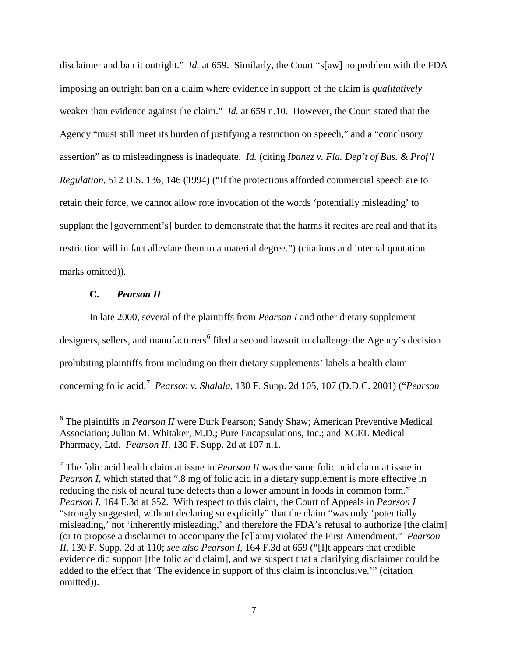disclaimer and ban it outright." *Id.* at 659. Similarly, the Court "s[aw] no problem with the FDA imposing an outright ban on a claim where evidence in support of the claim is *qualitatively* weaker than evidence against the claim." *Id.* at 659 n.10. However, the Court stated that the Agency "must still meet its burden of justifying a restriction on speech," and a "conclusory assertion" as to misleadingness is inadequate. *Id.* (citing *Ibanez v. Fla. Dep't of Bus. & Prof'l Regulation*, 512 U.S. 136, 146 (1994) ("If the protections afforded commercial speech are to retain their force, we cannot allow rote invocation of the words 'potentially misleading' to supplant the [government's] burden to demonstrate that the harms it recites are real and that its restriction will in fact alleviate them to a material degree.") (citations and internal quotation marks omitted).

### **C.** *Pearson II*

In late 2000, several of the plaintiffs from *Pearson I* and other dietary supplement designers, sellers, and manufacturers<sup>[6](#page-6-0)</sup> filed a second lawsuit to challenge the Agency's decision prohibiting plaintiffs from including on their dietary supplements' labels a health claim concerning folic acid.[7](#page-6-1) *Pearson v. Shalala*, 130 F. Supp. 2d 105, 107 (D.D.C. 2001) ("*Pearson* 

<span id="page-6-0"></span> <sup>6</sup> The plaintiffs in *Pearson II* were Durk Pearson; Sandy Shaw; American Preventive Medical Association; Julian M. Whitaker, M.D.; Pure Encapsulations, Inc.; and XCEL Medical Pharmacy, Ltd. *Pearson II*, 130 F. Supp. 2d at 107 n.1.

<span id="page-6-1"></span><sup>7</sup> The folic acid health claim at issue in *Pearson II* was the same folic acid claim at issue in *Pearson I*, which stated that ".8 mg of folic acid in a dietary supplement is more effective in reducing the risk of neural tube defects than a lower amount in foods in common form." *Pearson I*, 164 F.3d at 652.With respect to this claim, the Court of Appeals in *Pearson I*  "strongly suggested, without declaring so explicitly" that the claim "was only 'potentially misleading,' not 'inherently misleading,' and therefore the FDA's refusal to authorize [the claim] (or to propose a disclaimer to accompany the [c]laim) violated the First Amendment." *Pearson II*, 130 F. Supp. 2d at 110; *see also Pearson I*, 164 F.3d at 659 ("[I]t appears that credible evidence did support [the folic acid claim], and we suspect that a clarifying disclaimer could be added to the effect that 'The evidence in support of this claim is inconclusive.'" (citation omitted)).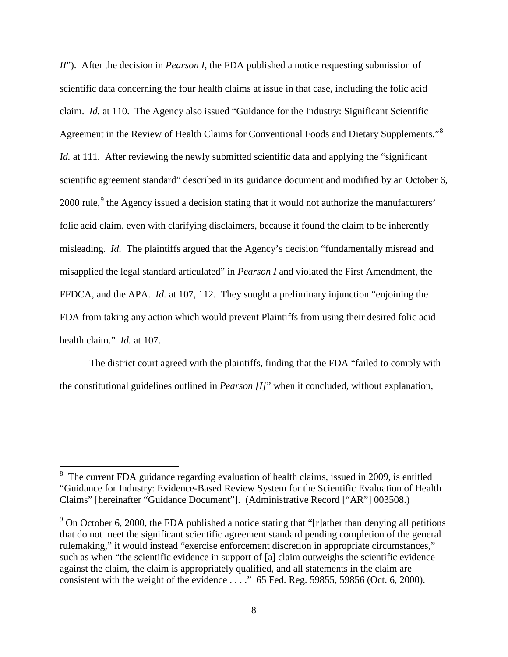*II*"). After the decision in *Pearson I*, the FDA published a notice requesting submission of scientific data concerning the four health claims at issue in that case, including the folic acid claim. *Id.* at 110. The Agency also issued "Guidance for the Industry: Significant Scientific Agreement in the Review of Health Claims for Conventional Foods and Dietary Supplements."<sup>[8](#page-7-0)</sup> *Id.* at 111. After reviewing the newly submitted scientific data and applying the "significant" scientific agreement standard" described in its guidance document and modified by an October 6, 2000 rule,<sup>[9](#page-7-1)</sup> the Agency issued a decision stating that it would not authorize the manufacturers' folic acid claim, even with clarifying disclaimers, because it found the claim to be inherently misleading. *Id.* The plaintiffs argued that the Agency's decision "fundamentally misread and misapplied the legal standard articulated" in *Pearson I* and violated the First Amendment, the FFDCA, and the APA. *Id.* at 107, 112. They sought a preliminary injunction "enjoining the FDA from taking any action which would prevent Plaintiffs from using their desired folic acid health claim." *Id.* at 107.

The district court agreed with the plaintiffs, finding that the FDA "failed to comply with the constitutional guidelines outlined in *Pearson [I]*" when it concluded, without explanation,

<span id="page-7-0"></span><sup>&</sup>lt;sup>8</sup> The current FDA guidance regarding evaluation of health claims, issued in 2009, is entitled "Guidance for Industry: Evidence-Based Review System for the Scientific Evaluation of Health Claims" [hereinafter "Guidance Document"]. (Administrative Record ["AR"] 003508.)

<span id="page-7-1"></span> $9$  On October 6, 2000, the FDA published a notice stating that "[r]ather than denying all petitions that do not meet the significant scientific agreement standard pending completion of the general rulemaking," it would instead "exercise enforcement discretion in appropriate circumstances," such as when "the scientific evidence in support of [a] claim outweighs the scientific evidence against the claim, the claim is appropriately qualified, and all statements in the claim are consistent with the weight of the evidence . . . ." 65 Fed. Reg. 59855, 59856 (Oct. 6, 2000).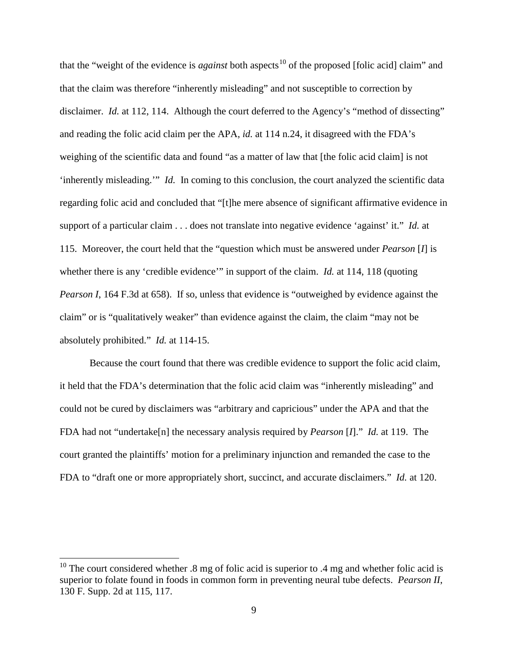that the "weight of the evidence is *against* both aspects<sup>[10](#page-8-0)</sup> of the proposed [folic acid] claim" and that the claim was therefore "inherently misleading" and not susceptible to correction by disclaimer. *Id.* at 112, 114. Although the court deferred to the Agency's "method of dissecting" and reading the folic acid claim per the APA, *id.* at 114 n.24, it disagreed with the FDA's weighing of the scientific data and found "as a matter of law that [the folic acid claim] is not 'inherently misleading.'" *Id.* In coming to this conclusion, the court analyzed the scientific data regarding folic acid and concluded that "[t]he mere absence of significant affirmative evidence in support of a particular claim . . . does not translate into negative evidence 'against' it." *Id.* at 115. Moreover, the court held that the "question which must be answered under *Pearson* [*I*] is whether there is any 'credible evidence'" in support of the claim. *Id.* at 114, 118 (quoting *Pearson I*, 164 F.3d at 658). If so, unless that evidence is "outweighed by evidence against the claim" or is "qualitatively weaker" than evidence against the claim, the claim "may not be absolutely prohibited." *Id.* at 114-15.

Because the court found that there was credible evidence to support the folic acid claim, it held that the FDA's determination that the folic acid claim was "inherently misleading" and could not be cured by disclaimers was "arbitrary and capricious" under the APA and that the FDA had not "undertake[n] the necessary analysis required by *Pearson* [*I*]." *Id.* at 119. The court granted the plaintiffs' motion for a preliminary injunction and remanded the case to the FDA to "draft one or more appropriately short, succinct, and accurate disclaimers." *Id.* at 120.

<span id="page-8-0"></span><sup>&</sup>lt;sup>10</sup> The court considered whether  $\alpha$ .8 mg of folic acid is superior to  $\alpha$  mg and whether folic acid is superior to folate found in foods in common form in preventing neural tube defects. *Pearson II*, 130 F. Supp. 2d at 115, 117.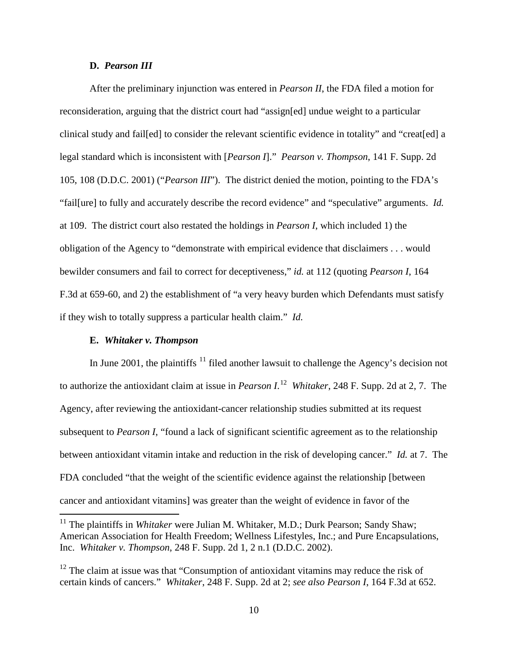### **D.** *Pearson III*

After the preliminary injunction was entered in *Pearson II*, the FDA filed a motion for reconsideration, arguing that the district court had "assign[ed] undue weight to a particular clinical study and fail[ed] to consider the relevant scientific evidence in totality" and "creat[ed] a legal standard which is inconsistent with [*Pearson I*]." *Pearson v. Thompson*, 141 F. Supp. 2d 105, 108 (D.D.C. 2001) ("*Pearson III*"). The district denied the motion, pointing to the FDA's "fail[ure] to fully and accurately describe the record evidence" and "speculative" arguments. *Id.* at 109. The district court also restated the holdings in *Pearson I*, which included 1) the obligation of the Agency to "demonstrate with empirical evidence that disclaimers . . . would bewilder consumers and fail to correct for deceptiveness," *id.* at 112 (quoting *Pearson I*, 164 F.3d at 659-60, and 2) the establishment of "a very heavy burden which Defendants must satisfy if they wish to totally suppress a particular health claim." *Id.*

#### **E.** *Whitaker v. Thompson*

In June 2001, the plaintiffs  $11$  filed another lawsuit to challenge the Agency's decision not to authorize the antioxidant claim at issue in *Pearson I*. [12](#page-9-1) *Whitaker*, 248 F. Supp. 2d at 2, 7. The Agency, after reviewing the antioxidant-cancer relationship studies submitted at its request subsequent to *Pearson I*, "found a lack of significant scientific agreement as to the relationship between antioxidant vitamin intake and reduction in the risk of developing cancer." *Id.* at 7. The FDA concluded "that the weight of the scientific evidence against the relationship [between cancer and antioxidant vitamins] was greater than the weight of evidence in favor of the

<span id="page-9-0"></span><sup>&</sup>lt;sup>11</sup> The plaintiffs in *Whitaker* were Julian M. Whitaker, M.D.; Durk Pearson; Sandy Shaw; American Association for Health Freedom; Wellness Lifestyles, Inc.; and Pure Encapsulations, Inc. *Whitaker v. Thompson*, 248 F. Supp. 2d 1, 2 n.1 (D.D.C. 2002).

<span id="page-9-1"></span> $12$  The claim at issue was that "Consumption of antioxidant vitamins may reduce the risk of certain kinds of cancers." *Whitaker*, 248 F. Supp. 2d at 2; *see also Pearson I*, 164 F.3d at 652.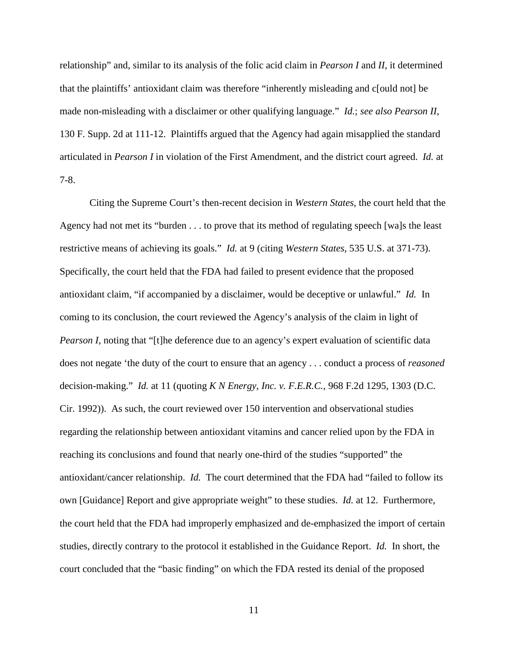relationship" and, similar to its analysis of the folic acid claim in *Pearson I* and *II*, it determined that the plaintiffs' antioxidant claim was therefore "inherently misleading and c[ould not] be made non-misleading with a disclaimer or other qualifying language." *Id.*; *see also Pearson II*, 130 F. Supp. 2d at 111-12. Plaintiffs argued that the Agency had again misapplied the standard articulated in *Pearson I* in violation of the First Amendment, and the district court agreed. *Id.* at 7-8.

Citing the Supreme Court's then-recent decision in *Western States*, the court held that the Agency had not met its "burden . . . to prove that its method of regulating speech [wa]s the least restrictive means of achieving its goals." *Id.* at 9 (citing *Western States*, 535 U.S. at 371-73). Specifically, the court held that the FDA had failed to present evidence that the proposed antioxidant claim, "if accompanied by a disclaimer, would be deceptive or unlawful." *Id.* In coming to its conclusion, the court reviewed the Agency's analysis of the claim in light of *Pearson I*, noting that "[t]he deference due to an agency's expert evaluation of scientific data does not negate 'the duty of the court to ensure that an agency . . . conduct a process of *reasoned* decision-making." *Id.* at 11 (quoting *K N Energy, Inc. v. F.E.R.C.*, 968 F.2d 1295, 1303 (D.C. Cir. 1992)). As such, the court reviewed over 150 intervention and observational studies regarding the relationship between antioxidant vitamins and cancer relied upon by the FDA in reaching its conclusions and found that nearly one-third of the studies "supported" the antioxidant/cancer relationship. *Id.* The court determined that the FDA had "failed to follow its own [Guidance] Report and give appropriate weight" to these studies. *Id.* at 12. Furthermore, the court held that the FDA had improperly emphasized and de-emphasized the import of certain studies, directly contrary to the protocol it established in the Guidance Report. *Id.* In short, the court concluded that the "basic finding" on which the FDA rested its denial of the proposed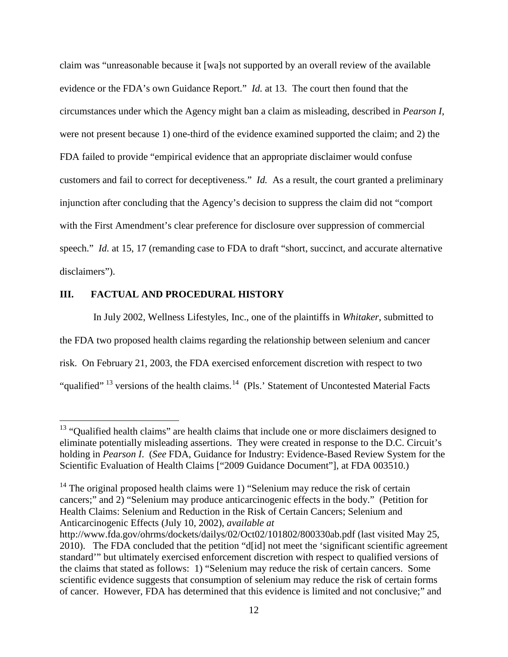claim was "unreasonable because it [wa]s not supported by an overall review of the available evidence or the FDA's own Guidance Report." *Id.* at 13. The court then found that the circumstances under which the Agency might ban a claim as misleading, described in *Pearson I*, were not present because 1) one-third of the evidence examined supported the claim; and 2) the FDA failed to provide "empirical evidence that an appropriate disclaimer would confuse customers and fail to correct for deceptiveness." *Id.* As a result, the court granted a preliminary injunction after concluding that the Agency's decision to suppress the claim did not "comport with the First Amendment's clear preference for disclosure over suppression of commercial speech." *Id.* at 15, 17 (remanding case to FDA to draft "short, succinct, and accurate alternative disclaimers").

### **III. FACTUAL AND PROCEDURAL HISTORY**

In July 2002, Wellness Lifestyles, Inc., one of the plaintiffs in *Whitaker*, submitted to the FDA two proposed health claims regarding the relationship between selenium and cancer risk. On February 21, 2003, the FDA exercised enforcement discretion with respect to two "qualified"<sup>[13](#page-11-0)</sup> versions of the health claims.<sup>[14](#page-11-1)</sup> (Pls.' Statement of Uncontested Material Facts

<span id="page-11-0"></span><sup>&</sup>lt;sup>13</sup> "Qualified health claims" are health claims that include one or more disclaimers designed to eliminate potentially misleading assertions. They were created in response to the D.C. Circuit's holding in *Pearson I*.(*See* FDA, Guidance for Industry: Evidence-Based Review System for the Scientific Evaluation of Health Claims ["2009 Guidance Document"], at FDA 003510.)

<span id="page-11-1"></span> $14$  The original proposed health claims were 1) "Selenium may reduce the risk of certain cancers;" and 2) "Selenium may produce anticarcinogenic effects in the body." (Petition for Health Claims: Selenium and Reduction in the Risk of Certain Cancers; Selenium and Anticarcinogenic Effects (July 10, 2002), *available at* 

http://www.fda.gov/ohrms/dockets/dailys/02/Oct02/101802/800330ab.pdf (last visited May 25, 2010). The FDA concluded that the petition "d[id] not meet the 'significant scientific agreement standard'" but ultimately exercised enforcement discretion with respect to qualified versions of the claims that stated as follows: 1) "Selenium may reduce the risk of certain cancers. Some scientific evidence suggests that consumption of selenium may reduce the risk of certain forms of cancer. However, FDA has determined that this evidence is limited and not conclusive;" and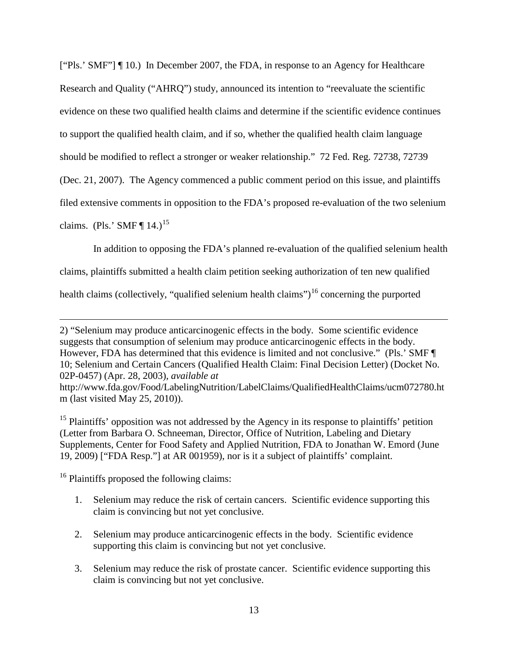["Pls.' SMF"] ¶ 10.) In December 2007, the FDA, in response to an Agency for Healthcare Research and Quality ("AHRQ") study, announced its intention to "reevaluate the scientific evidence on these two qualified health claims and determine if the scientific evidence continues to support the qualified health claim, and if so, whether the qualified health claim language should be modified to reflect a stronger or weaker relationship." 72 Fed. Reg. 72738, 72739 (Dec. 21, 2007). The Agency commenced a public comment period on this issue, and plaintiffs filed extensive comments in opposition to the FDA's proposed re-evaluation of the two selenium

claims. (Pls.' SMF  $\P$  14.)<sup>[15](#page-12-0)</sup>

 $\overline{a}$ 

In addition to opposing the FDA's planned re-evaluation of the qualified selenium health

claims, plaintiffs submitted a health claim petition seeking authorization of ten new qualified

health claims (collectively, "qualified selenium health claims")<sup>[16](#page-12-1)</sup> concerning the purported

<span id="page-12-0"></span><sup>15</sup> Plaintiffs' opposition was not addressed by the Agency in its response to plaintiffs' petition (Letter from Barbara O. Schneeman, Director, Office of Nutrition, Labeling and Dietary Supplements, Center for Food Safety and Applied Nutrition, FDA to Jonathan W. Emord (June 19, 2009) ["FDA Resp."] at AR 001959), nor is it a subject of plaintiffs' complaint.

<span id="page-12-1"></span> $16$  Plaintiffs proposed the following claims:

- 1. Selenium may reduce the risk of certain cancers. Scientific evidence supporting this claim is convincing but not yet conclusive.
- 2. Selenium may produce anticarcinogenic effects in the body. Scientific evidence supporting this claim is convincing but not yet conclusive.
- 3. Selenium may reduce the risk of prostate cancer. Scientific evidence supporting this claim is convincing but not yet conclusive.

<sup>2) &</sup>quot;Selenium may produce anticarcinogenic effects in the body. Some scientific evidence suggests that consumption of selenium may produce anticarcinogenic effects in the body. However, FDA has determined that this evidence is limited and not conclusive." (Pls.' SMF ¶ 10; Selenium and Certain Cancers (Qualified Health Claim: Final Decision Letter) (Docket No. 02P-0457) (Apr. 28, 2003), *available at*

http://www.fda.gov/Food/LabelingNutrition/LabelClaims/QualifiedHealthClaims/ucm072780.ht m (last visited May 25, 2010)).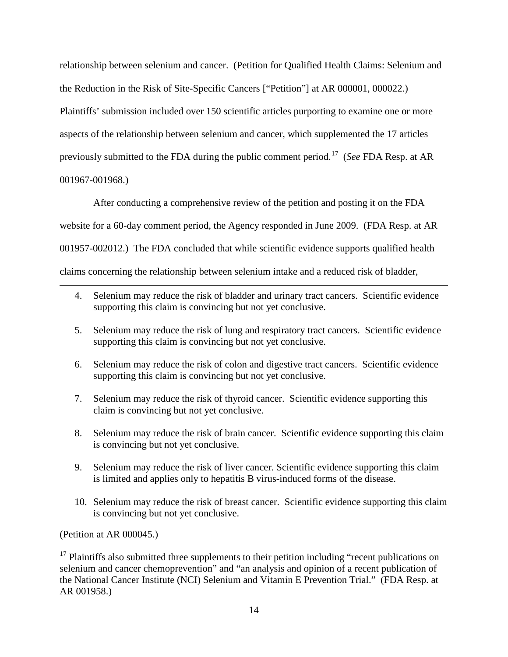relationship between selenium and cancer. (Petition for Qualified Health Claims: Selenium and the Reduction in the Risk of Site-Specific Cancers ["Petition"] at AR 000001, 000022.) Plaintiffs' submission included over 150 scientific articles purporting to examine one or more aspects of the relationship between selenium and cancer, which supplemented the 17 articles previously submitted to the FDA during the public comment period. [17](#page-13-0) (*See* FDA Resp. at AR 001967-001968.)

After conducting a comprehensive review of the petition and posting it on the FDA website for a 60-day comment period, the Agency responded in June 2009. (FDA Resp. at AR 001957-002012.) The FDA concluded that while scientific evidence supports qualified health claims concerning the relationship between selenium intake and a reduced risk of bladder,

- 4. Selenium may reduce the risk of bladder and urinary tract cancers. Scientific evidence supporting this claim is convincing but not yet conclusive.
- 5. Selenium may reduce the risk of lung and respiratory tract cancers. Scientific evidence supporting this claim is convincing but not yet conclusive.
- 6. Selenium may reduce the risk of colon and digestive tract cancers. Scientific evidence supporting this claim is convincing but not yet conclusive.
- 7. Selenium may reduce the risk of thyroid cancer. Scientific evidence supporting this claim is convincing but not yet conclusive.
- 8. Selenium may reduce the risk of brain cancer. Scientific evidence supporting this claim is convincing but not yet conclusive.
- 9. Selenium may reduce the risk of liver cancer. Scientific evidence supporting this claim is limited and applies only to hepatitis B virus-induced forms of the disease.
- 10. Selenium may reduce the risk of breast cancer. Scientific evidence supporting this claim is convincing but not yet conclusive.

(Petition at AR 000045.)

 $\overline{a}$ 

<span id="page-13-0"></span> $17$  Plaintiffs also submitted three supplements to their petition including "recent publications on selenium and cancer chemoprevention" and "an analysis and opinion of a recent publication of the National Cancer Institute (NCI) Selenium and Vitamin E Prevention Trial." (FDA Resp. at AR 001958.)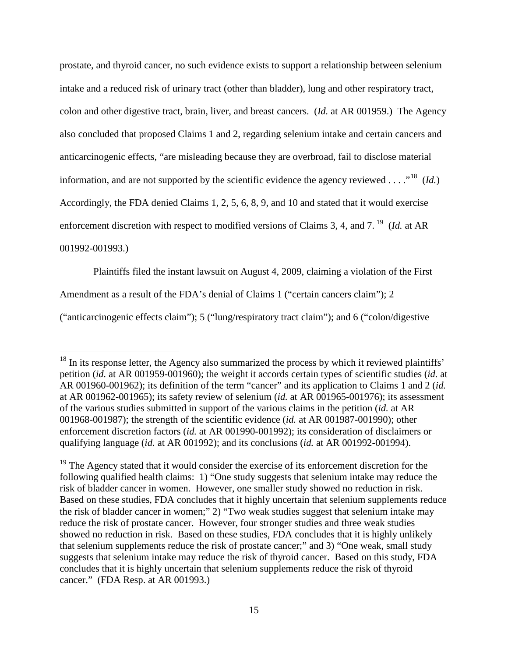prostate, and thyroid cancer, no such evidence exists to support a relationship between selenium intake and a reduced risk of urinary tract (other than bladder), lung and other respiratory tract, colon and other digestive tract, brain, liver, and breast cancers. (*Id.* at AR 001959.) The Agency also concluded that proposed Claims 1 and 2, regarding selenium intake and certain cancers and anticarcinogenic effects, "are misleading because they are overbroad, fail to disclose material information, and are not supported by the scientific evidence the agency reviewed . . . ."[18](#page-14-0) (*Id.*) Accordingly, the FDA denied Claims 1, 2, 5, 6, 8, 9, and 10 and stated that it would exercise enforcement discretion with respect to modified versions of Claims 3, 4, and 7.<sup>[19](#page-14-1)</sup> (*Id.* at AR 001992-001993.)

Plaintiffs filed the instant lawsuit on August 4, 2009, claiming a violation of the First

Amendment as a result of the FDA's denial of Claims 1 ("certain cancers claim"); 2

("anticarcinogenic effects claim"); 5 ("lung/respiratory tract claim"); and 6 ("colon/digestive

<span id="page-14-0"></span> $18$  In its response letter, the Agency also summarized the process by which it reviewed plaintiffs' petition (*id.* at AR 001959-001960); the weight it accords certain types of scientific studies (*id.* at AR 001960-001962); its definition of the term "cancer" and its application to Claims 1 and 2 (*id.* at AR 001962-001965); its safety review of selenium (*id.* at AR 001965-001976); its assessment of the various studies submitted in support of the various claims in the petition (*id.* at AR 001968-001987); the strength of the scientific evidence (*id.* at AR 001987-001990); other enforcement discretion factors (*id.* at AR 001990-001992); its consideration of disclaimers or qualifying language (*id.* at AR 001992); and its conclusions (*id.* at AR 001992-001994).

<span id="page-14-1"></span><sup>&</sup>lt;sup>19</sup> The Agency stated that it would consider the exercise of its enforcement discretion for the following qualified health claims: 1) "One study suggests that selenium intake may reduce the risk of bladder cancer in women. However, one smaller study showed no reduction in risk. Based on these studies, FDA concludes that it highly uncertain that selenium supplements reduce the risk of bladder cancer in women;" 2) "Two weak studies suggest that selenium intake may reduce the risk of prostate cancer. However, four stronger studies and three weak studies showed no reduction in risk. Based on these studies, FDA concludes that it is highly unlikely that selenium supplements reduce the risk of prostate cancer;" and 3) "One weak, small study suggests that selenium intake may reduce the risk of thyroid cancer. Based on this study, FDA concludes that it is highly uncertain that selenium supplements reduce the risk of thyroid cancer." (FDA Resp. at AR 001993.)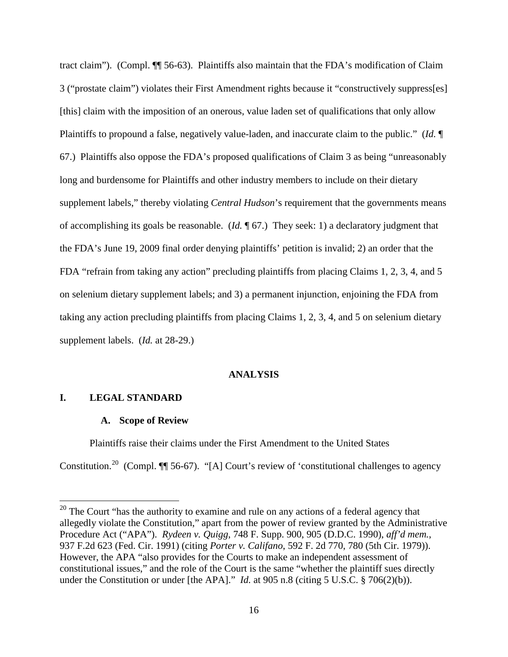tract claim"). (Compl. ¶¶ 56-63). Plaintiffs also maintain that the FDA's modification of Claim 3 ("prostate claim") violates their First Amendment rights because it "constructively suppress[es] [this] claim with the imposition of an onerous, value laden set of qualifications that only allow Plaintiffs to propound a false, negatively value-laden, and inaccurate claim to the public." (*Id.* ¶ 67.) Plaintiffs also oppose the FDA's proposed qualifications of Claim 3 as being "unreasonably long and burdensome for Plaintiffs and other industry members to include on their dietary supplement labels," thereby violating *Central Hudson*'s requirement that the governments means of accomplishing its goals be reasonable. (*Id.* ¶ 67.) They seek: 1) a declaratory judgment that the FDA's June 19, 2009 final order denying plaintiffs' petition is invalid; 2) an order that the FDA "refrain from taking any action" precluding plaintiffs from placing Claims 1, 2, 3, 4, and 5 on selenium dietary supplement labels; and 3) a permanent injunction, enjoining the FDA from taking any action precluding plaintiffs from placing Claims 1, 2, 3, 4, and 5 on selenium dietary supplement labels. (*Id.* at 28-29.)

### **ANALYSIS**

# **I. LEGAL STANDARD**

#### **A. Scope of Review**

Plaintiffs raise their claims under the First Amendment to the United States Constitution.<sup>[20](#page-15-0)</sup> (Compl.  $\P$  56-67). "[A] Court's review of 'constitutional challenges to agency

<span id="page-15-0"></span> $20$  The Court "has the authority to examine and rule on any actions of a federal agency that allegedly violate the Constitution," apart from the power of review granted by the Administrative Procedure Act ("APA"). *Rydeen v. Quigg*, 748 F. Supp. 900, 905 (D.D.C. 1990), *aff'd mem.*, 937 F.2d 623 (Fed. Cir. 1991) (citing *Porter v. Califano*, 592 F. 2d 770, 780 (5th Cir. 1979)). However, the APA "also provides for the Courts to make an independent assessment of constitutional issues," and the role of the Court is the same "whether the plaintiff sues directly under the Constitution or under [the APA]." *Id.* at 905 n.8 (citing 5 U.S.C. § 706(2)(b)).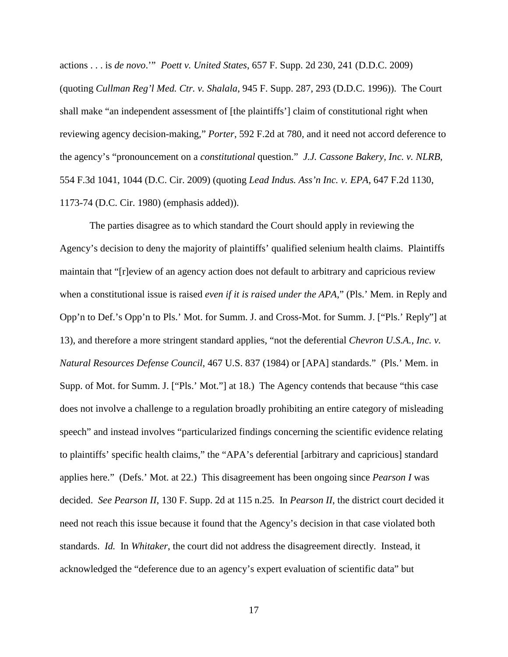actions . . . is *de novo*.'" *Poett v. United States*, 657 F. Supp. 2d 230, 241 (D.D.C. 2009) (quoting *Cullman Reg'l Med. Ctr. v. Shalala*, 945 F. Supp. 287, 293 (D.D.C. 1996)). The Court shall make "an independent assessment of [the plaintiffs'] claim of constitutional right when reviewing agency decision-making," *Porter*, 592 F.2d at 780*,* and it need not accord deference to the agency's "pronouncement on a *constitutional* question." *J.J. Cassone Bakery, Inc. v. NLRB*, 554 F.3d 1041, 1044 (D.C. Cir. 2009) (quoting *Lead Indus. Ass'n Inc. v. EPA*, 647 F.2d 1130, 1173-74 (D.C. Cir. 1980) (emphasis added)).

The parties disagree as to which standard the Court should apply in reviewing the Agency's decision to deny the majority of plaintiffs' qualified selenium health claims. Plaintiffs maintain that "[r]eview of an agency action does not default to arbitrary and capricious review when a constitutional issue is raised *even if it is raised under the APA*," (Pls.' Mem. in Reply and Opp'n to Def.'s Opp'n to Pls.' Mot. for Summ. J. and Cross-Mot. for Summ. J. ["Pls.' Reply"] at 13), and therefore a more stringent standard applies, "not the deferential *Chevron U.S.A., Inc. v. Natural Resources Defense Council*, 467 U.S. 837 (1984) or [APA] standards." (Pls.' Mem. in Supp. of Mot. for Summ. J. ["Pls.' Mot."] at 18.) The Agency contends that because "this case does not involve a challenge to a regulation broadly prohibiting an entire category of misleading speech" and instead involves "particularized findings concerning the scientific evidence relating to plaintiffs' specific health claims," the "APA's deferential [arbitrary and capricious] standard applies here." (Defs.' Mot. at 22.) This disagreement has been ongoing since *Pearson I* was decided. *See Pearson II*, 130 F. Supp. 2d at 115 n.25. In *Pearson II*, the district court decided it need not reach this issue because it found that the Agency's decision in that case violated both standards. *Id.* In *Whitaker*, the court did not address the disagreement directly. Instead, it acknowledged the "deference due to an agency's expert evaluation of scientific data" but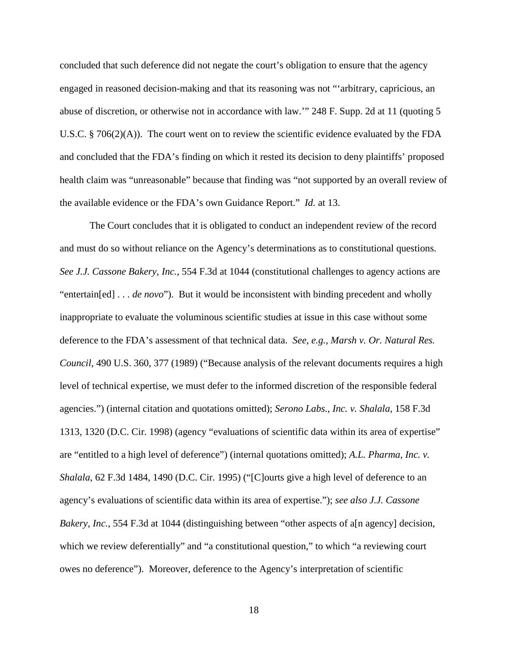concluded that such deference did not negate the court's obligation to ensure that the agency engaged in reasoned decision-making and that its reasoning was not "'arbitrary, capricious, an abuse of discretion, or otherwise not in accordance with law.'" 248 F. Supp. 2d at 11 (quoting 5 U.S.C. § 706(2)(A)). The court went on to review the scientific evidence evaluated by the FDA and concluded that the FDA's finding on which it rested its decision to deny plaintiffs' proposed health claim was "unreasonable" because that finding was "not supported by an overall review of the available evidence or the FDA's own Guidance Report." *Id.* at 13.

The Court concludes that it is obligated to conduct an independent review of the record and must do so without reliance on the Agency's determinations as to constitutional questions. *See J.J. Cassone Bakery, Inc.*, 554 F.3d at 1044 (constitutional challenges to agency actions are "entertain[ed] . . . *de novo*"). But it would be inconsistent with binding precedent and wholly inappropriate to evaluate the voluminous scientific studies at issue in this case without some deference to the FDA's assessment of that technical data. *See*, *e.g.*, *Marsh v. Or. Natural Res. Council*, 490 U.S. 360, 377 (1989) ("Because analysis of the relevant documents requires a high level of technical expertise, we must defer to the informed discretion of the responsible federal agencies.") (internal citation and quotations omitted); *Serono Labs., Inc. v. Shalala*, 158 F.3d 1313, 1320 (D.C. Cir. 1998) (agency "evaluations of scientific data within its area of expertise" are "entitled to a high level of deference") (internal quotations omitted); *A.L. Pharma, Inc. v. Shalala*, 62 F.3d 1484, 1490 (D.C. Cir. 1995) ("[C]ourts give a high level of deference to an agency's evaluations of scientific data within its area of expertise."); *see also J.J. Cassone Bakery, Inc.*, 554 F.3d at 1044 (distinguishing between "other aspects of a[n agency] decision, which we review deferentially" and "a constitutional question," to which "a reviewing court owes no deference"). Moreover, deference to the Agency's interpretation of scientific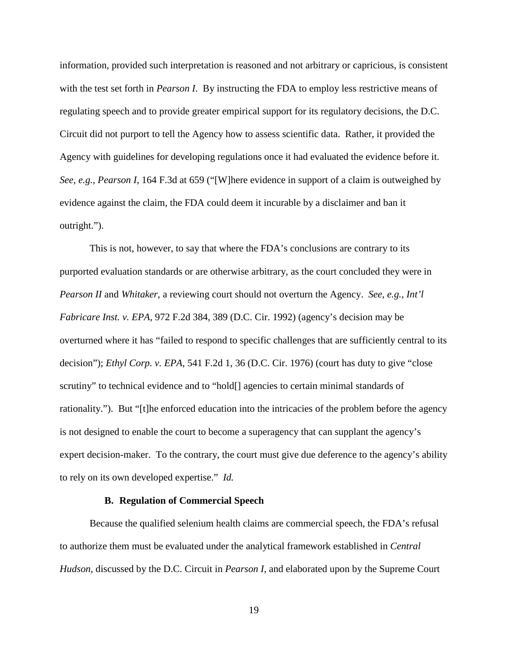information, provided such interpretation is reasoned and not arbitrary or capricious, is consistent with the test set forth in *Pearson I*. By instructing the FDA to employ less restrictive means of regulating speech and to provide greater empirical support for its regulatory decisions, the D.C. Circuit did not purport to tell the Agency how to assess scientific data. Rather, it provided the Agency with guidelines for developing regulations once it had evaluated the evidence before it. *See*, *e.g.*, *Pearson I*, 164 F.3d at 659 ("[W]here evidence in support of a claim is outweighed by evidence against the claim, the FDA could deem it incurable by a disclaimer and ban it outright.").

This is not, however, to say that where the FDA's conclusions are contrary to its purported evaluation standards or are otherwise arbitrary, as the court concluded they were in *Pearson II* and *Whitaker*, a reviewing court should not overturn the Agency. *See*, *e.g.*, *Int'l Fabricare Inst. v. EPA*, 972 F.2d 384, 389 (D.C. Cir. 1992) (agency's decision may be overturned where it has "failed to respond to specific challenges that are sufficiently central to its decision"); *Ethyl Corp. v. EPA*, 541 F.2d 1, 36 (D.C. Cir. 1976) (court has duty to give "close scrutiny" to technical evidence and to "hold[] agencies to certain minimal standards of rationality."). But "[t]he enforced education into the intricacies of the problem before the agency is not designed to enable the court to become a superagency that can supplant the agency's expert decision-maker. To the contrary, the court must give due deference to the agency's ability to rely on its own developed expertise." *Id.*

## **B. Regulation of Commercial Speech**

Because the qualified selenium health claims are commercial speech, the FDA's refusal to authorize them must be evaluated under the analytical framework established in *Central Hudson*, discussed by the D.C. Circuit in *Pearson I*, and elaborated upon by the Supreme Court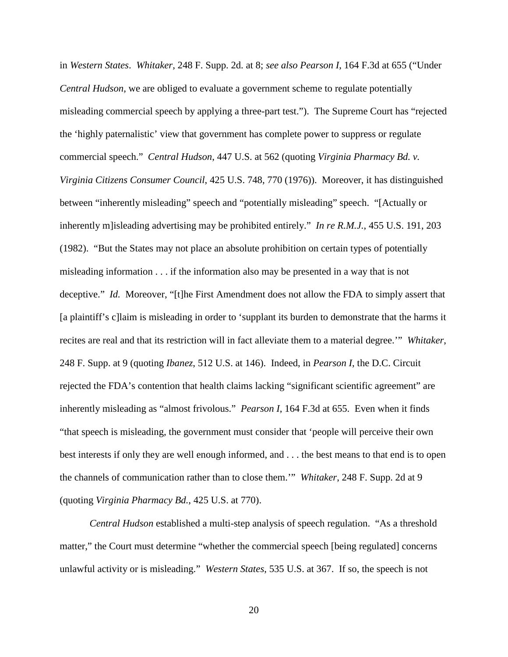in *Western States*. *Whitaker*, 248 F. Supp. 2d. at 8; *see also Pearson I*, 164 F.3d at 655 ("Under *Central Hudson*, we are obliged to evaluate a government scheme to regulate potentially misleading commercial speech by applying a three-part test."). The Supreme Court has "rejected the 'highly paternalistic' view that government has complete power to suppress or regulate commercial speech." *Central Hudson*, 447 U.S. at 562 (quoting *Virginia Pharmacy Bd. v. Virginia Citizens Consumer Council*, 425 U.S. 748, 770 (1976)). Moreover, it has distinguished between "inherently misleading" speech and "potentially misleading" speech. "[Actually or inherently m]isleading advertising may be prohibited entirely." *In re R.M.J.*, 455 U.S. 191, 203 (1982). "But the States may not place an absolute prohibition on certain types of potentially misleading information . . . if the information also may be presented in a way that is not deceptive." *Id.* Moreover, "[t]he First Amendment does not allow the FDA to simply assert that [a plaintiff's c]laim is misleading in order to 'supplant its burden to demonstrate that the harms it recites are real and that its restriction will in fact alleviate them to a material degree.'" *Whitaker*, 248 F. Supp. at 9 (quoting *Ibanez*, 512 U.S. at 146).Indeed, in *Pearson I*, the D.C. Circuit rejected the FDA's contention that health claims lacking "significant scientific agreement" are inherently misleading as "almost frivolous." *Pearson I*, 164 F.3d at 655. Even when it finds "that speech is misleading, the government must consider that 'people will perceive their own best interests if only they are well enough informed, and . . . the best means to that end is to open the channels of communication rather than to close them.'" *Whitaker*, 248 F. Supp. 2d at 9 (quoting *Virginia Pharmacy Bd.*, 425 U.S. at 770).

*Central Hudson* established a multi-step analysis of speech regulation. "As a threshold matter," the Court must determine "whether the commercial speech [being regulated] concerns unlawful activity or is misleading." *Western States*, 535 U.S. at 367. If so, the speech is not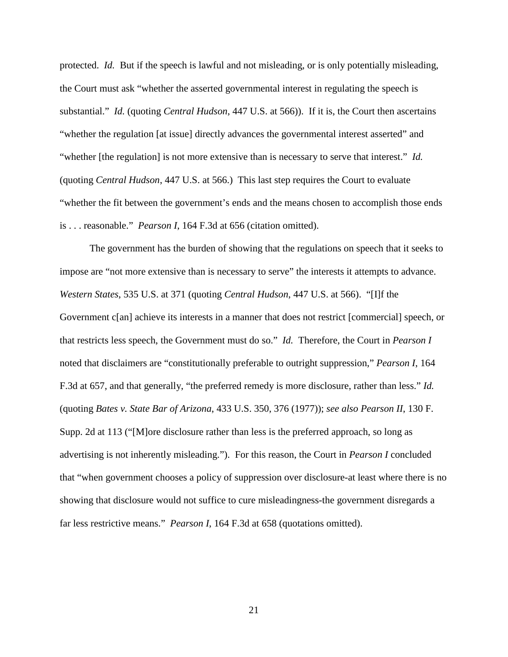protected. *Id.* But if the speech is lawful and not misleading, or is only potentially misleading, the Court must ask "whether the asserted governmental interest in regulating the speech is substantial." *Id.* (quoting *Central Hudson*, 447 U.S. at 566)). If it is, the Court then ascertains "whether the regulation [at issue] directly advances the governmental interest asserted" and "whether [the regulation] is not more extensive than is necessary to serve that interest." *Id.* (quoting *Central Hudson*, 447 U.S. at 566.) This last step requires the Court to evaluate "whether the fit between the government's ends and the means chosen to accomplish those ends is . . . reasonable." *Pearson I*, 164 F.3d at 656 (citation omitted).

The government has the burden of showing that the regulations on speech that it seeks to impose are "not more extensive than is necessary to serve" the interests it attempts to advance. *Western States*, 535 U.S. at 371 (quoting *Central Hudson*, 447 U.S. at 566). "[I]f the Government c[an] achieve its interests in a manner that does not restrict [commercial] speech, or that restricts less speech, the Government must do so." *Id.* Therefore, the Court in *Pearson I* noted that disclaimers are "constitutionally preferable to outright suppression," *Pearson I*, 164 F.3d at 657, and that generally, "the preferred remedy is more disclosure, rather than less." *Id.*  (quoting *Bates v. State Bar of Arizona*, 433 U.S. 350, 376 (1977)); *see also Pearson II*, 130 F. Supp. 2d at 113 ("[M]ore disclosure rather than less is the preferred approach, so long as advertising is not inherently misleading."). For this reason, the Court in *Pearson I* concluded that "when government chooses a policy of suppression over disclosure-at least where there is no showing that disclosure would not suffice to cure misleadingness-the government disregards a far less restrictive means." *Pearson I*, 164 F.3d at 658 (quotations omitted).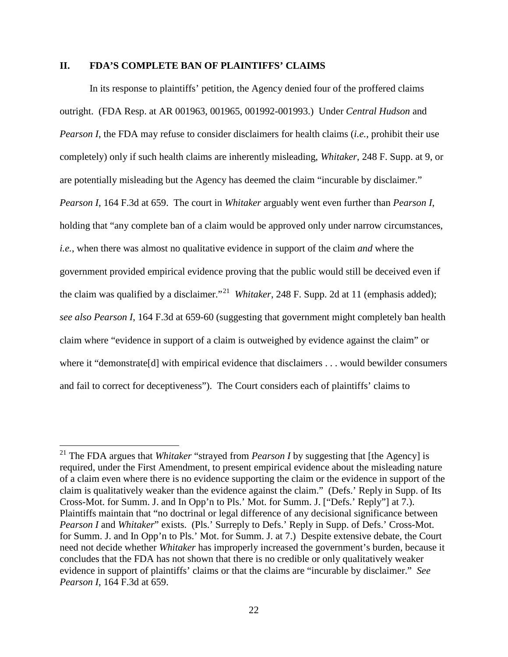# **II. FDA'S COMPLETE BAN OF PLAINTIFFS' CLAIMS**

In its response to plaintiffs' petition, the Agency denied four of the proffered claims outright. (FDA Resp. at AR 001963, 001965, 001992-001993.) Under *Central Hudson* and *Pearson I*, the FDA may refuse to consider disclaimers for health claims (*i.e.*, prohibit their use completely) only if such health claims are inherently misleading, *Whitaker*, 248 F. Supp. at 9, or are potentially misleading but the Agency has deemed the claim "incurable by disclaimer." *Pearson I*, 164 F.3d at 659. The court in *Whitaker* arguably went even further than *Pearson I*, holding that "any complete ban of a claim would be approved only under narrow circumstances, *i.e.*, when there was almost no qualitative evidence in support of the claim *and* where the government provided empirical evidence proving that the public would still be deceived even if the claim was qualified by a disclaimer."<sup>[21](#page-21-0)</sup> Whitaker, 248 F. Supp. 2d at 11 (emphasis added); *see also Pearson I*, 164 F.3d at 659-60 (suggesting that government might completely ban health claim where "evidence in support of a claim is outweighed by evidence against the claim" or where it "demonstrate<sup>[d]</sup> with empirical evidence that disclaimers . . . would bewilder consumers and fail to correct for deceptiveness").The Court considers each of plaintiffs' claims to

<span id="page-21-0"></span><sup>&</sup>lt;sup>21</sup> The FDA argues that *Whitaker* "strayed from *Pearson I* by suggesting that [the Agency] is required, under the First Amendment, to present empirical evidence about the misleading nature of a claim even where there is no evidence supporting the claim or the evidence in support of the claim is qualitatively weaker than the evidence against the claim." (Defs.' Reply in Supp. of Its Cross-Mot. for Summ. J. and In Opp'n to Pls.' Mot. for Summ. J. ["Defs.' Reply"] at 7.). Plaintiffs maintain that "no doctrinal or legal difference of any decisional significance between *Pearson I* and *Whitaker*" exists. (Pls.' Surreply to Defs.' Reply in Supp. of Defs.' Cross-Mot. for Summ. J. and In Opp'n to Pls.' Mot. for Summ. J. at 7.) Despite extensive debate, the Court need not decide whether *Whitaker* has improperly increased the government's burden, because it concludes that the FDA has not shown that there is no credible or only qualitatively weaker evidence in support of plaintiffs' claims or that the claims are "incurable by disclaimer." *See Pearson I*, 164 F.3d at 659.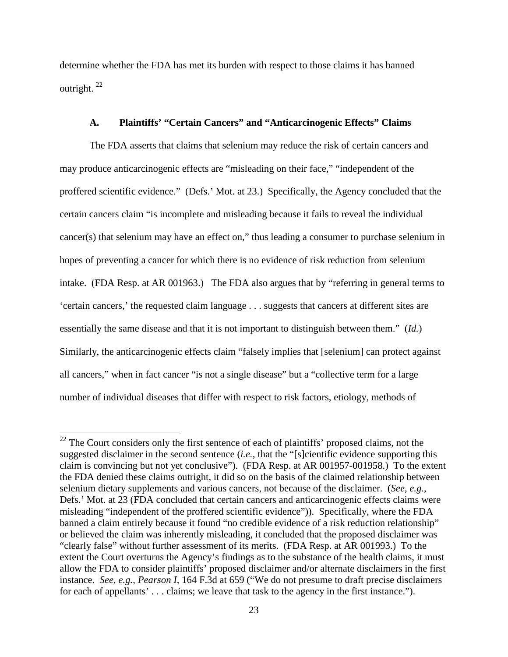determine whether the FDA has met its burden with respect to those claims it has banned outright. [22](#page-22-0)

# **A. Plaintiffs' "Certain Cancers" and "Anticarcinogenic Effects" Claims**

The FDA asserts that claims that selenium may reduce the risk of certain cancers and may produce anticarcinogenic effects are "misleading on their face," "independent of the proffered scientific evidence." (Defs.' Mot. at 23.) Specifically, the Agency concluded that the certain cancers claim "is incomplete and misleading because it fails to reveal the individual cancer(s) that selenium may have an effect on," thus leading a consumer to purchase selenium in hopes of preventing a cancer for which there is no evidence of risk reduction from selenium intake. (FDA Resp. at AR 001963.) The FDA also argues that by "referring in general terms to 'certain cancers,' the requested claim language . . . suggests that cancers at different sites are essentially the same disease and that it is not important to distinguish between them." (*Id.*) Similarly, the anticarcinogenic effects claim "falsely implies that [selenium] can protect against all cancers," when in fact cancer "is not a single disease" but a "collective term for a large number of individual diseases that differ with respect to risk factors, etiology, methods of

<span id="page-22-0"></span><sup>&</sup>lt;sup>22</sup> The Court considers only the first sentence of each of plaintiffs' proposed claims, not the suggested disclaimer in the second sentence (*i.e.*, that the "[s]cientific evidence supporting this claim is convincing but not yet conclusive"). (FDA Resp. at AR 001957-001958.) To the extent the FDA denied these claims outright, it did so on the basis of the claimed relationship between selenium dietary supplements and various cancers, not because of the disclaimer. (*See*, *e.g.*, Defs.' Mot. at 23 (FDA concluded that certain cancers and anticarcinogenic effects claims were misleading "independent of the proffered scientific evidence")). Specifically, where the FDA banned a claim entirely because it found "no credible evidence of a risk reduction relationship" or believed the claim was inherently misleading, it concluded that the proposed disclaimer was "clearly false" without further assessment of its merits. (FDA Resp. at AR 001993.) To the extent the Court overturns the Agency's findings as to the substance of the health claims, it must allow the FDA to consider plaintiffs' proposed disclaimer and/or alternate disclaimers in the first instance. *See*, *e.g.*, *Pearson I*, 164 F.3d at 659 ("We do not presume to draft precise disclaimers for each of appellants'... claims; we leave that task to the agency in the first instance.").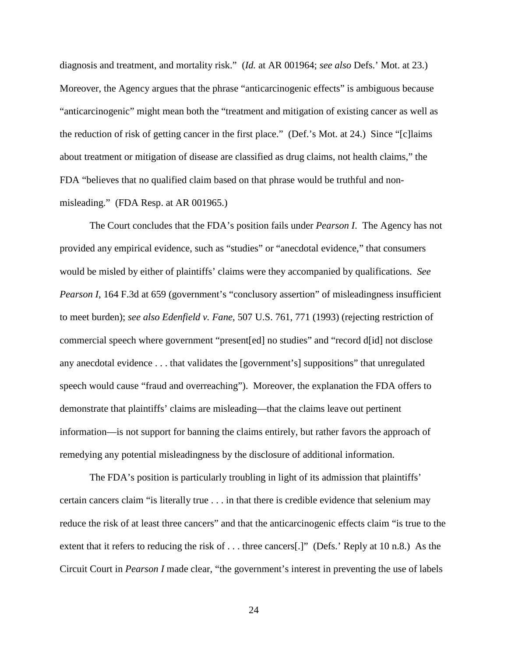diagnosis and treatment, and mortality risk." (*Id.* at AR 001964; *see also* Defs.' Mot. at 23.) Moreover, the Agency argues that the phrase "anticarcinogenic effects" is ambiguous because "anticarcinogenic" might mean both the "treatment and mitigation of existing cancer as well as the reduction of risk of getting cancer in the first place." (Def.'s Mot. at 24.) Since "[c]laims about treatment or mitigation of disease are classified as drug claims, not health claims," the FDA "believes that no qualified claim based on that phrase would be truthful and nonmisleading." (FDA Resp. at AR 001965.)

The Court concludes that the FDA's position fails under *Pearson I*. The Agency has not provided any empirical evidence, such as "studies" or "anecdotal evidence," that consumers would be misled by either of plaintiffs' claims were they accompanied by qualifications. *See Pearson I*, 164 F.3d at 659 (government's "conclusory assertion" of misleadingness insufficient to meet burden); *see also Edenfield v. Fane*, 507 U.S. 761, 771 (1993) (rejecting restriction of commercial speech where government "present[ed] no studies" and "record d[id] not disclose any anecdotal evidence . . . that validates the [government's] suppositions" that unregulated speech would cause "fraud and overreaching"). Moreover, the explanation the FDA offers to demonstrate that plaintiffs' claims are misleading—that the claims leave out pertinent information—is not support for banning the claims entirely, but rather favors the approach of remedying any potential misleadingness by the disclosure of additional information.

The FDA's position is particularly troubling in light of its admission that plaintiffs' certain cancers claim "is literally true . . . in that there is credible evidence that selenium may reduce the risk of at least three cancers" and that the anticarcinogenic effects claim "is true to the extent that it refers to reducing the risk of . . . three cancers[.]" (Defs.' Reply at 10 n.8.) As the Circuit Court in *Pearson I* made clear, "the government's interest in preventing the use of labels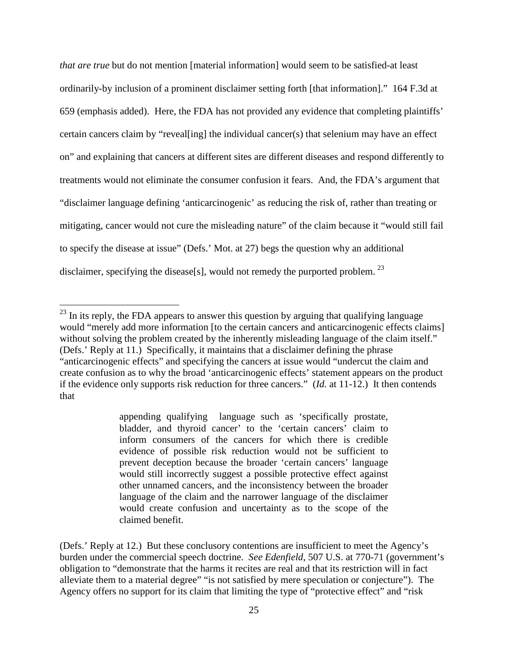*that are true* but do not mention [material information] would seem to be satisfied-at least ordinarily-by inclusion of a prominent disclaimer setting forth [that information]." 164 F.3d at 659 (emphasis added). Here, the FDA has not provided any evidence that completing plaintiffs' certain cancers claim by "reveal[ing] the individual cancer(s) that selenium may have an effect on" and explaining that cancers at different sites are different diseases and respond differently to treatments would not eliminate the consumer confusion it fears. And, the FDA's argument that "disclaimer language defining 'anticarcinogenic' as reducing the risk of, rather than treating or mitigating, cancer would not cure the misleading nature" of the claim because it "would still fail to specify the disease at issue" (Defs.' Mot. at 27) begs the question why an additional disclaimer, specifying the disease[s], would not remedy the purported problem.<sup>[23](#page-24-0)</sup>

appending qualifying language such as 'specifically prostate, bladder, and thyroid cancer' to the 'certain cancers' claim to inform consumers of the cancers for which there is credible evidence of possible risk reduction would not be sufficient to prevent deception because the broader 'certain cancers' language would still incorrectly suggest a possible protective effect against other unnamed cancers, and the inconsistency between the broader language of the claim and the narrower language of the disclaimer would create confusion and uncertainty as to the scope of the claimed benefit.

<span id="page-24-0"></span><sup>&</sup>lt;sup>23</sup> In its reply, the FDA appears to answer this question by arguing that qualifying language would "merely add more information [to the certain cancers and anticarcinogenic effects claims] without solving the problem created by the inherently misleading language of the claim itself." (Defs.' Reply at 11.) Specifically, it maintains that a disclaimer defining the phrase "anticarcinogenic effects" and specifying the cancers at issue would "undercut the claim and create confusion as to why the broad 'anticarcinogenic effects' statement appears on the product if the evidence only supports risk reduction for three cancers." (*Id.* at 11-12.) It then contends that

<sup>(</sup>Defs.' Reply at 12.) But these conclusory contentions are insufficient to meet the Agency's burden under the commercial speech doctrine. *See Edenfield*, 507 U.S. at 770-71 (government's obligation to "demonstrate that the harms it recites are real and that its restriction will in fact alleviate them to a material degree" "is not satisfied by mere speculation or conjecture"). The Agency offers no support for its claim that limiting the type of "protective effect" and "risk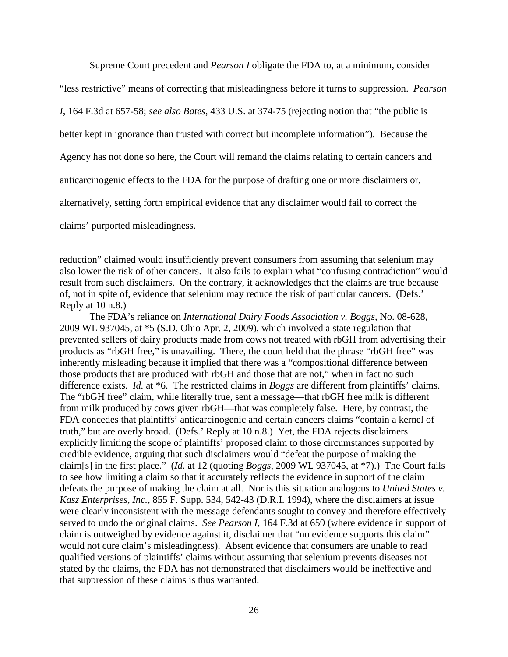Supreme Court precedent and *Pearson I* obligate the FDA to, at a minimum, consider

"less restrictive" means of correcting that misleadingness before it turns to suppression. *Pearson* 

*I*, 164 F.3d at 657-58; *see also Bates*, 433 U.S. at 374-75 (rejecting notion that "the public is

better kept in ignorance than trusted with correct but incomplete information"). Because the

Agency has not done so here, the Court will remand the claims relating to certain cancers and

anticarcinogenic effects to the FDA for the purpose of drafting one or more disclaimers or,

alternatively, setting forth empirical evidence that any disclaimer would fail to correct the

claims' purported misleadingness.

 $\overline{a}$ 

reduction" claimed would insufficiently prevent consumers from assuming that selenium may also lower the risk of other cancers. It also fails to explain what "confusing contradiction" would result from such disclaimers. On the contrary, it acknowledges that the claims are true because of, not in spite of, evidence that selenium may reduce the risk of particular cancers. (Defs.' Reply at 10 n.8.)

The FDA's reliance on *International Dairy Foods Association v. Boggs*, No. 08-628, 2009 WL 937045, at \*5 (S.D. Ohio Apr. 2, 2009), which involved a state regulation that prevented sellers of dairy products made from cows not treated with rbGH from advertising their products as "rbGH free," is unavailing. There, the court held that the phrase "rbGH free" was inherently misleading because it implied that there was a "compositional difference between those products that are produced with rbGH and those that are not," when in fact no such difference exists. *Id.* at \*6. The restricted claims in *Boggs* are different from plaintiffs' claims. The "rbGH free" claim, while literally true, sent a message—that rbGH free milk is different from milk produced by cows given rbGH—that was completely false. Here, by contrast, the FDA concedes that plaintiffs' anticarcinogenic and certain cancers claims "contain a kernel of truth," but are overly broad. (Defs.' Reply at 10 n.8.) Yet, the FDA rejects disclaimers explicitly limiting the scope of plaintiffs' proposed claim to those circumstances supported by credible evidence, arguing that such disclaimers would "defeat the purpose of making the claim[s] in the first place." (*Id.* at 12 (quoting *Boggs*, 2009 WL 937045, at \*7).) The Court fails to see how limiting a claim so that it accurately reflects the evidence in support of the claim defeats the purpose of making the claim at all. Nor is this situation analogous to *United States v. Kasz Enterprises, Inc.*, 855 F. Supp. 534, 542-43 (D.R.I. 1994), where the disclaimers at issue were clearly inconsistent with the message defendants sought to convey and therefore effectively served to undo the original claims. *See Pearson I*, 164 F.3d at 659 (where evidence in support of claim is outweighed by evidence against it, disclaimer that "no evidence supports this claim" would not cure claim's misleadingness). Absent evidence that consumers are unable to read qualified versions of plaintiffs' claims without assuming that selenium prevents diseases not stated by the claims, the FDA has not demonstrated that disclaimers would be ineffective and that suppression of these claims is thus warranted.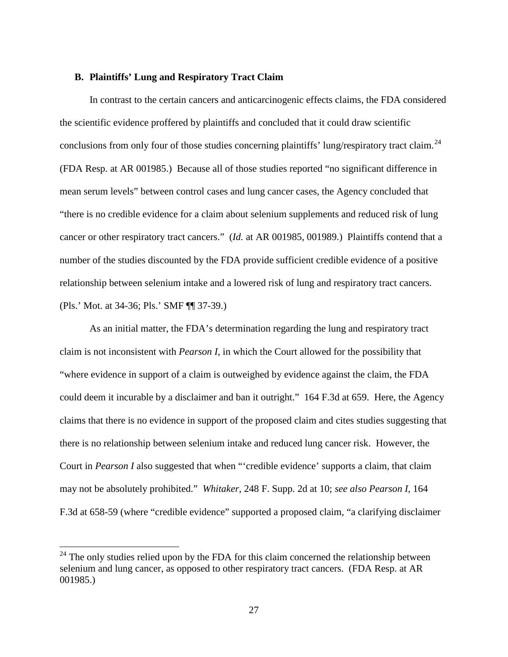### **B. Plaintiffs' Lung and Respiratory Tract Claim**

In contrast to the certain cancers and anticarcinogenic effects claims, the FDA considered the scientific evidence proffered by plaintiffs and concluded that it could draw scientific conclusions from only four of those studies concerning plaintiffs' lung/respiratory tract claim.<sup>[24](#page-26-0)</sup> (FDA Resp. at AR 001985.) Because all of those studies reported "no significant difference in mean serum levels" between control cases and lung cancer cases, the Agency concluded that "there is no credible evidence for a claim about selenium supplements and reduced risk of lung cancer or other respiratory tract cancers." (*Id.* at AR 001985, 001989.) Plaintiffs contend that a number of the studies discounted by the FDA provide sufficient credible evidence of a positive relationship between selenium intake and a lowered risk of lung and respiratory tract cancers. (Pls.' Mot. at 34-36; Pls.' SMF ¶¶ 37-39.)

As an initial matter, the FDA's determination regarding the lung and respiratory tract claim is not inconsistent with *Pearson I*, in which the Court allowed for the possibility that "where evidence in support of a claim is outweighed by evidence against the claim, the FDA could deem it incurable by a disclaimer and ban it outright." 164 F.3d at 659. Here, the Agency claims that there is no evidence in support of the proposed claim and cites studies suggesting that there is no relationship between selenium intake and reduced lung cancer risk. However, the Court in *Pearson I* also suggested that when "'credible evidence' supports a claim, that claim may not be absolutely prohibited." *Whitaker*, 248 F. Supp. 2d at 10; *see also Pearson I*, 164 F.3d at 658-59 (where "credible evidence" supported a proposed claim, "a clarifying disclaimer

<span id="page-26-0"></span> $24$  The only studies relied upon by the FDA for this claim concerned the relationship between selenium and lung cancer, as opposed to other respiratory tract cancers. (FDA Resp. at AR 001985.)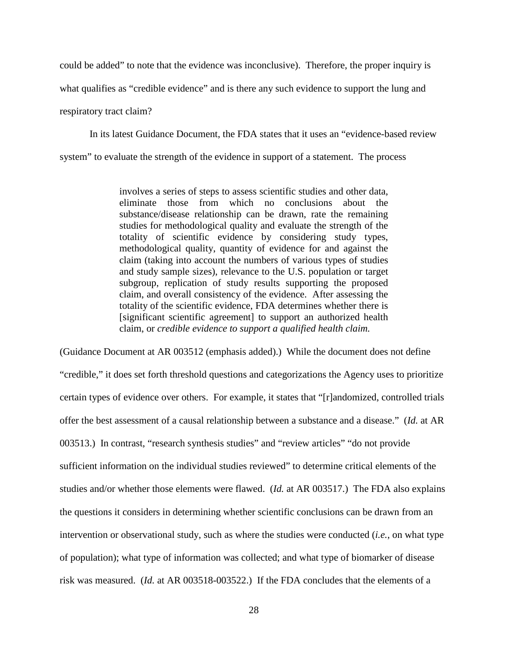could be added" to note that the evidence was inconclusive). Therefore, the proper inquiry is what qualifies as "credible evidence" and is there any such evidence to support the lung and respiratory tract claim?

In its latest Guidance Document, the FDA states that it uses an "evidence-based review system" to evaluate the strength of the evidence in support of a statement. The process

> involves a series of steps to assess scientific studies and other data, eliminate those from which no conclusions about the substance/disease relationship can be drawn, rate the remaining studies for methodological quality and evaluate the strength of the totality of scientific evidence by considering study types, methodological quality, quantity of evidence for and against the claim (taking into account the numbers of various types of studies and study sample sizes), relevance to the U.S. population or target subgroup, replication of study results supporting the proposed claim, and overall consistency of the evidence. After assessing the totality of the scientific evidence, FDA determines whether there is [significant scientific agreement] to support an authorized health claim, or *credible evidence to support a qualified health claim.*

(Guidance Document at AR 003512 (emphasis added).) While the document does not define "credible," it does set forth threshold questions and categorizations the Agency uses to prioritize certain types of evidence over others. For example, it states that "[r]andomized, controlled trials offer the best assessment of a causal relationship between a substance and a disease." (*Id.* at AR 003513.) In contrast, "research synthesis studies" and "review articles" "do not provide sufficient information on the individual studies reviewed" to determine critical elements of the studies and/or whether those elements were flawed. (*Id.* at AR 003517.) The FDA also explains the questions it considers in determining whether scientific conclusions can be drawn from an intervention or observational study, such as where the studies were conducted (*i.e.*, on what type of population); what type of information was collected; and what type of biomarker of disease risk was measured. (*Id.* at AR 003518-003522.) If the FDA concludes that the elements of a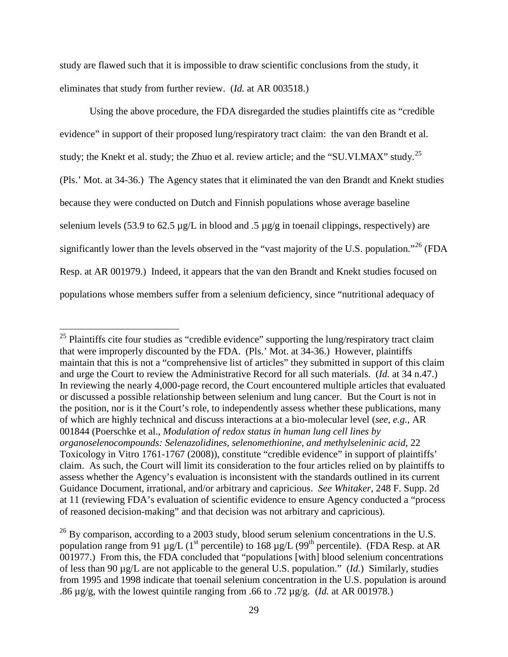study are flawed such that it is impossible to draw scientific conclusions from the study, it eliminates that study from further review. (*Id.* at AR 003518.)

Using the above procedure, the FDA disregarded the studies plaintiffs cite as "credible evidence" in support of their proposed lung/respiratory tract claim: the van den Brandt et al. study; the Knekt et al. study; the Zhuo et al. review article; and the "SU.VI.MAX" study.<sup>25</sup> (Pls.' Mot. at 34-36.) The Agency states that it eliminated the van den Brandt and Knekt studies because they were conducted on Dutch and Finnish populations whose average baseline selenium levels (53.9 to 62.5  $\mu$ g/L in blood and .5  $\mu$ g/g in toenail clippings, respectively) are significantly lower than the levels observed in the "vast majority of the U.S. population."<sup>[26](#page-28-1)</sup> (FDA Resp. at AR 001979.) Indeed, it appears that the van den Brandt and Knekt studies focused on populations whose members suffer from a selenium deficiency, since "nutritional adequacy of

<span id="page-28-0"></span><sup>&</sup>lt;sup>25</sup> Plaintiffs cite four studies as "credible evidence" supporting the lung/respiratory tract claim that were improperly discounted by the FDA. (Pls.' Mot. at 34-36.) However, plaintiffs maintain that this is not a "comprehensive list of articles" they submitted in support of this claim and urge the Court to review the Administrative Record for all such materials. (*Id.* at 34 n.47.) In reviewing the nearly 4,000-page record, the Court encountered multiple articles that evaluated or discussed a possible relationship between selenium and lung cancer. But the Court is not in the position, nor is it the Court's role, to independently assess whether these publications, many of which are highly technical and discuss interactions at a bio-molecular level (*see*, *e.g.*, AR 001844 (Poerschke et al., *Modulation of redox status in human lung cell lines by organoselenocompounds: Selenazolidines, selenomethionine, and methylseleninic acid*, 22 Toxicology in Vitro 1761-1767 (2008)), constitute "credible evidence" in support of plaintiffs' claim. As such, the Court will limit its consideration to the four articles relied on by plaintiffs to assess whether the Agency's evaluation is inconsistent with the standards outlined in its current Guidance Document, irrational, and/or arbitrary and capricious. *See Whitaker*, 248 F. Supp. 2d at 11 (reviewing FDA's evaluation of scientific evidence to ensure Agency conducted a "process of reasoned decision-making" and that decision was not arbitrary and capricious).

<span id="page-28-1"></span> $^{26}$  By comparison, according to a 2003 study, blood serum selenium concentrations in the U.S. population range from 91  $\mu$ g/L (1<sup>st</sup> percentile) to 168  $\mu$ g/L (99<sup>th</sup> percentile). (FDA Resp. at AR 001977.) From this, the FDA concluded that "populations [with] blood selenium concentrations of less than 90 µg/L are not applicable to the general U.S. population." (*Id.*) Similarly, studies from 1995 and 1998 indicate that toenail selenium concentration in the U.S. population is around .86 µg/g, with the lowest quintile ranging from .66 to .72 µg/g. (*Id.* at AR 001978.)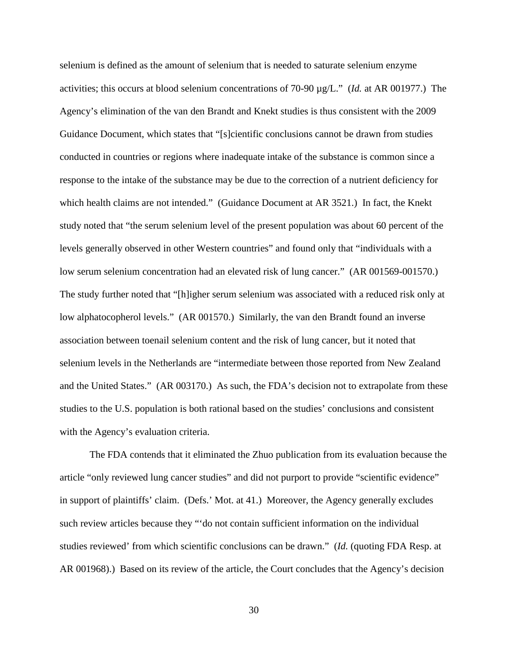selenium is defined as the amount of selenium that is needed to saturate selenium enzyme activities; this occurs at blood selenium concentrations of 70-90 µg/L." (*Id.* at AR 001977.) The Agency's elimination of the van den Brandt and Knekt studies is thus consistent with the 2009 Guidance Document, which states that "[s]cientific conclusions cannot be drawn from studies conducted in countries or regions where inadequate intake of the substance is common since a response to the intake of the substance may be due to the correction of a nutrient deficiency for which health claims are not intended." (Guidance Document at AR 3521.) In fact, the Knekt study noted that "the serum selenium level of the present population was about 60 percent of the levels generally observed in other Western countries" and found only that "individuals with a low serum selenium concentration had an elevated risk of lung cancer." (AR 001569-001570.) The study further noted that "[h]igher serum selenium was associated with a reduced risk only at low alphatocopherol levels." (AR 001570.) Similarly, the van den Brandt found an inverse association between toenail selenium content and the risk of lung cancer, but it noted that selenium levels in the Netherlands are "intermediate between those reported from New Zealand and the United States." (AR 003170.) As such, the FDA's decision not to extrapolate from these studies to the U.S. population is both rational based on the studies' conclusions and consistent with the Agency's evaluation criteria.

The FDA contends that it eliminated the Zhuo publication from its evaluation because the article "only reviewed lung cancer studies" and did not purport to provide "scientific evidence" in support of plaintiffs' claim. (Defs.' Mot. at 41.) Moreover, the Agency generally excludes such review articles because they "'do not contain sufficient information on the individual studies reviewed' from which scientific conclusions can be drawn." (*Id.* (quoting FDA Resp. at AR 001968).) Based on its review of the article, the Court concludes that the Agency's decision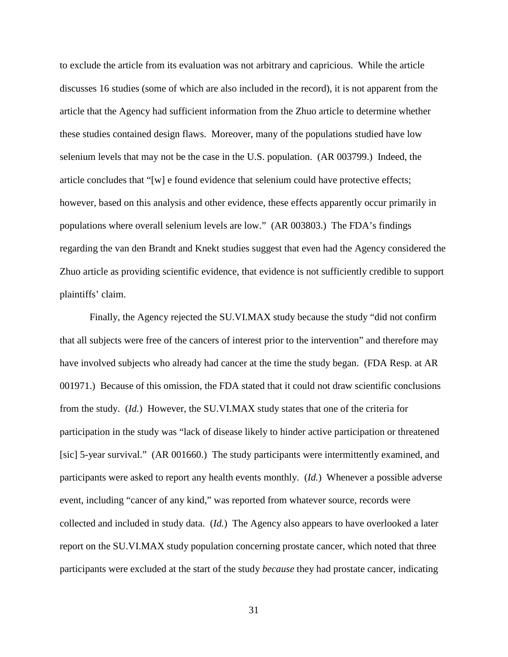to exclude the article from its evaluation was not arbitrary and capricious. While the article discusses 16 studies (some of which are also included in the record), it is not apparent from the article that the Agency had sufficient information from the Zhuo article to determine whether these studies contained design flaws. Moreover, many of the populations studied have low selenium levels that may not be the case in the U.S. population. (AR 003799.) Indeed, the article concludes that "[w] e found evidence that selenium could have protective effects; however, based on this analysis and other evidence, these effects apparently occur primarily in populations where overall selenium levels are low." (AR 003803.) The FDA's findings regarding the van den Brandt and Knekt studies suggest that even had the Agency considered the Zhuo article as providing scientific evidence, that evidence is not sufficiently credible to support plaintiffs' claim.

Finally, the Agency rejected the SU.VI.MAX study because the study "did not confirm that all subjects were free of the cancers of interest prior to the intervention" and therefore may have involved subjects who already had cancer at the time the study began. (FDA Resp. at AR 001971.) Because of this omission, the FDA stated that it could not draw scientific conclusions from the study. (*Id.*) However, the SU.VI.MAX study states that one of the criteria for participation in the study was "lack of disease likely to hinder active participation or threatened [sic] 5-year survival." (AR 001660.) The study participants were intermittently examined, and participants were asked to report any health events monthly. (*Id.*) Whenever a possible adverse event, including "cancer of any kind," was reported from whatever source, records were collected and included in study data. (*Id.*) The Agency also appears to have overlooked a later report on the SU.VI.MAX study population concerning prostate cancer, which noted that three participants were excluded at the start of the study *because* they had prostate cancer, indicating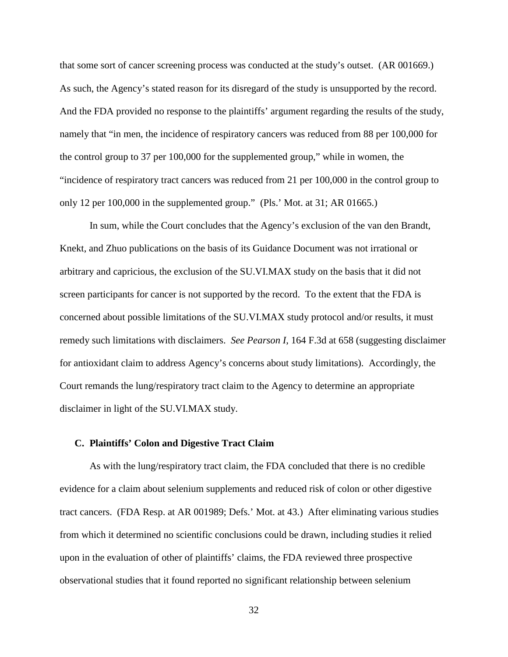that some sort of cancer screening process was conducted at the study's outset. (AR 001669.) As such, the Agency's stated reason for its disregard of the study is unsupported by the record. And the FDA provided no response to the plaintiffs' argument regarding the results of the study, namely that "in men, the incidence of respiratory cancers was reduced from 88 per 100,000 for the control group to 37 per 100,000 for the supplemented group," while in women, the "incidence of respiratory tract cancers was reduced from 21 per 100,000 in the control group to only 12 per 100,000 in the supplemented group." (Pls.' Mot. at 31; AR 01665.)

In sum, while the Court concludes that the Agency's exclusion of the van den Brandt, Knekt, and Zhuo publications on the basis of its Guidance Document was not irrational or arbitrary and capricious, the exclusion of the SU.VI.MAX study on the basis that it did not screen participants for cancer is not supported by the record. To the extent that the FDA is concerned about possible limitations of the SU.VI.MAX study protocol and/or results, it must remedy such limitations with disclaimers. *See Pearson I*, 164 F.3d at 658 (suggesting disclaimer for antioxidant claim to address Agency's concerns about study limitations). Accordingly, the Court remands the lung/respiratory tract claim to the Agency to determine an appropriate disclaimer in light of the SU.VI.MAX study.

# **C. Plaintiffs' Colon and Digestive Tract Claim**

As with the lung/respiratory tract claim, the FDA concluded that there is no credible evidence for a claim about selenium supplements and reduced risk of colon or other digestive tract cancers. (FDA Resp. at AR 001989; Defs.' Mot. at 43.) After eliminating various studies from which it determined no scientific conclusions could be drawn, including studies it relied upon in the evaluation of other of plaintiffs' claims, the FDA reviewed three prospective observational studies that it found reported no significant relationship between selenium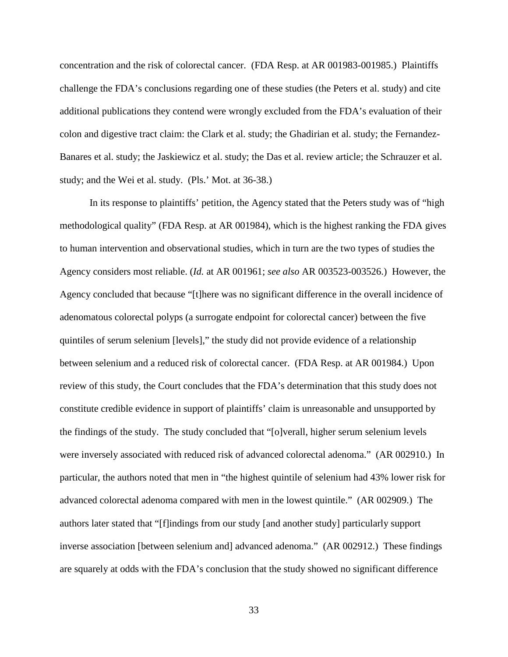concentration and the risk of colorectal cancer. (FDA Resp. at AR 001983-001985.) Plaintiffs challenge the FDA's conclusions regarding one of these studies (the Peters et al. study) and cite additional publications they contend were wrongly excluded from the FDA's evaluation of their colon and digestive tract claim: the Clark et al. study; the Ghadirian et al. study; the Fernandez-Banares et al. study; the Jaskiewicz et al. study; the Das et al. review article; the Schrauzer et al. study; and the Wei et al. study. (Pls.' Mot. at 36-38.)

In its response to plaintiffs' petition, the Agency stated that the Peters study was of "high methodological quality" (FDA Resp. at AR 001984), which is the highest ranking the FDA gives to human intervention and observational studies, which in turn are the two types of studies the Agency considers most reliable. (*Id.* at AR 001961; *see also* AR 003523-003526.) However, the Agency concluded that because "[t]here was no significant difference in the overall incidence of adenomatous colorectal polyps (a surrogate endpoint for colorectal cancer) between the five quintiles of serum selenium [levels]," the study did not provide evidence of a relationship between selenium and a reduced risk of colorectal cancer. (FDA Resp. at AR 001984.) Upon review of this study, the Court concludes that the FDA's determination that this study does not constitute credible evidence in support of plaintiffs' claim is unreasonable and unsupported by the findings of the study. The study concluded that "[o]verall, higher serum selenium levels were inversely associated with reduced risk of advanced colorectal adenoma." (AR 002910.) In particular, the authors noted that men in "the highest quintile of selenium had 43% lower risk for advanced colorectal adenoma compared with men in the lowest quintile." (AR 002909.) The authors later stated that "[f]indings from our study [and another study] particularly support inverse association [between selenium and] advanced adenoma." (AR 002912.) These findings are squarely at odds with the FDA's conclusion that the study showed no significant difference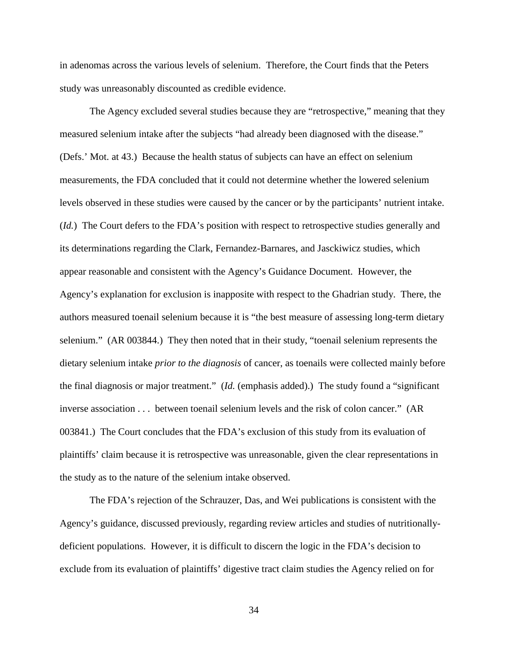in adenomas across the various levels of selenium. Therefore, the Court finds that the Peters study was unreasonably discounted as credible evidence.

The Agency excluded several studies because they are "retrospective," meaning that they measured selenium intake after the subjects "had already been diagnosed with the disease." (Defs.' Mot. at 43.) Because the health status of subjects can have an effect on selenium measurements, the FDA concluded that it could not determine whether the lowered selenium levels observed in these studies were caused by the cancer or by the participants' nutrient intake. (*Id.*) The Court defers to the FDA's position with respect to retrospective studies generally and its determinations regarding the Clark, Fernandez-Barnares, and Jasckiwicz studies, which appear reasonable and consistent with the Agency's Guidance Document. However, the Agency's explanation for exclusion is inapposite with respect to the Ghadrian study. There, the authors measured toenail selenium because it is "the best measure of assessing long-term dietary selenium." (AR 003844.) They then noted that in their study, "toenail selenium represents the dietary selenium intake *prior to the diagnosis* of cancer, as toenails were collected mainly before the final diagnosis or major treatment." (*Id.* (emphasis added).) The study found a "significant inverse association . . . between toenail selenium levels and the risk of colon cancer." (AR 003841.) The Court concludes that the FDA's exclusion of this study from its evaluation of plaintiffs' claim because it is retrospective was unreasonable, given the clear representations in the study as to the nature of the selenium intake observed.

The FDA's rejection of the Schrauzer, Das, and Wei publications is consistent with the Agency's guidance, discussed previously, regarding review articles and studies of nutritionallydeficient populations. However, it is difficult to discern the logic in the FDA's decision to exclude from its evaluation of plaintiffs' digestive tract claim studies the Agency relied on for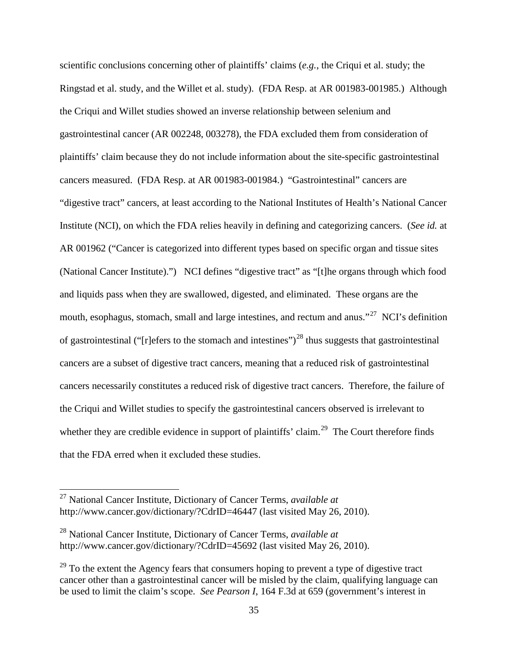scientific conclusions concerning other of plaintiffs' claims (*e.g.*, the Criqui et al. study; the Ringstad et al. study, and the Willet et al. study). (FDA Resp. at AR 001983-001985.) Although the Criqui and Willet studies showed an inverse relationship between selenium and gastrointestinal cancer (AR 002248, 003278), the FDA excluded them from consideration of plaintiffs' claim because they do not include information about the site-specific gastrointestinal cancers measured. (FDA Resp. at AR 001983-001984.) "Gastrointestinal" cancers are "digestive tract" cancers, at least according to the National Institutes of Health's National Cancer Institute (NCI), on which the FDA relies heavily in defining and categorizing cancers. (*See id.* at AR 001962 ("Cancer is categorized into different types based on specific organ and tissue sites (National Cancer Institute).") NCI defines "digestive tract" as "[t]he organs through which food and liquids pass when they are swallowed, digested, and eliminated. These organs are the mouth, esophagus, stomach, small and large intestines, and rectum and anus."<sup>[27](#page-34-0)</sup> NCI's definition of gastrointestinal ("[r]efers to the stomach and intestines")<sup>[28](#page-34-1)</sup> thus suggests that gastrointestinal cancers are a subset of digestive tract cancers, meaning that a reduced risk of gastrointestinal cancers necessarily constitutes a reduced risk of digestive tract cancers. Therefore, the failure of the Criqui and Willet studies to specify the gastrointestinal cancers observed is irrelevant to whether they are credible evidence in support of plaintiffs' claim.<sup>[29](#page-34-2)</sup> The Court therefore finds that the FDA erred when it excluded these studies.

<span id="page-34-0"></span> <sup>27</sup> National Cancer Institute, Dictionary of Cancer Terms, *available at*  <http://www.cancer.gov/dictionary/?CdrID=46447> (last visited May 26, 2010).

<span id="page-34-1"></span><sup>28</sup> National Cancer Institute, Dictionary of Cancer Terms, *available at*  <http://www.cancer.gov/dictionary/?CdrID=45692> (last visited May 26, 2010).

<span id="page-34-2"></span> $^{29}$  To the extent the Agency fears that consumers hoping to prevent a type of digestive tract cancer other than a gastrointestinal cancer will be misled by the claim, qualifying language can be used to limit the claim's scope. *See Pearson I*, 164 F.3d at 659 (government's interest in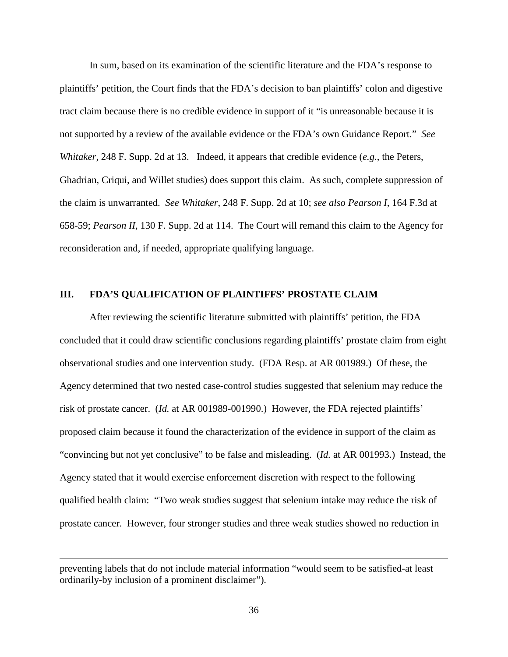In sum, based on its examination of the scientific literature and the FDA's response to plaintiffs' petition, the Court finds that the FDA's decision to ban plaintiffs' colon and digestive tract claim because there is no credible evidence in support of it "is unreasonable because it is not supported by a review of the available evidence or the FDA's own Guidance Report." *See Whitaker*, 248 F. Supp. 2d at 13. Indeed, it appears that credible evidence (*e.g.*, the Peters, Ghadrian, Criqui, and Willet studies) does support this claim. As such, complete suppression of the claim is unwarranted. *See Whitaker*, 248 F. Supp. 2d at 10; *see also Pearson I*, 164 F.3d at 658-59; *Pearson II*, 130 F. Supp. 2d at 114. The Court will remand this claim to the Agency for reconsideration and, if needed, appropriate qualifying language.

#### **III. FDA'S QUALIFICATION OF PLAINTIFFS' PROSTATE CLAIM**

After reviewing the scientific literature submitted with plaintiffs' petition, the FDA concluded that it could draw scientific conclusions regarding plaintiffs' prostate claim from eight observational studies and one intervention study. (FDA Resp. at AR 001989.) Of these, the Agency determined that two nested case-control studies suggested that selenium may reduce the risk of prostate cancer. (*Id.* at AR 001989-001990.) However, the FDA rejected plaintiffs' proposed claim because it found the characterization of the evidence in support of the claim as "convincing but not yet conclusive" to be false and misleading. (*Id.* at AR 001993.) Instead, the Agency stated that it would exercise enforcement discretion with respect to the following qualified health claim: "Two weak studies suggest that selenium intake may reduce the risk of prostate cancer. However, four stronger studies and three weak studies showed no reduction in

 $\overline{a}$ 

preventing labels that do not include material information "would seem to be satisfied-at least ordinarily-by inclusion of a prominent disclaimer").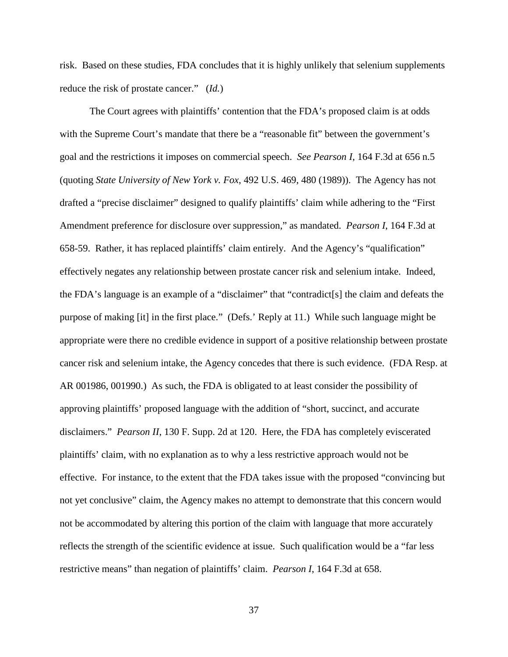risk. Based on these studies, FDA concludes that it is highly unlikely that selenium supplements reduce the risk of prostate cancer." (*Id.*)

The Court agrees with plaintiffs' contention that the FDA's proposed claim is at odds with the Supreme Court's mandate that there be a "reasonable fit" between the government's goal and the restrictions it imposes on commercial speech. *See Pearson I*, 164 F.3d at 656 n.5 (quoting *State University of New York v. Fox*, 492 U.S. 469, 480 (1989)). The Agency has not drafted a "precise disclaimer" designed to qualify plaintiffs' claim while adhering to the "First Amendment preference for disclosure over suppression," as mandated. *Pearson I*, 164 F.3d at 658-59. Rather, it has replaced plaintiffs' claim entirely. And the Agency's "qualification" effectively negates any relationship between prostate cancer risk and selenium intake. Indeed, the FDA's language is an example of a "disclaimer" that "contradict[s] the claim and defeats the purpose of making [it] in the first place." (Defs.' Reply at 11.) While such language might be appropriate were there no credible evidence in support of a positive relationship between prostate cancer risk and selenium intake, the Agency concedes that there is such evidence. (FDA Resp. at AR 001986, 001990.) As such, the FDA is obligated to at least consider the possibility of approving plaintiffs' proposed language with the addition of "short, succinct, and accurate disclaimers." *Pearson II*, 130 F. Supp. 2d at 120.Here, the FDA has completely eviscerated plaintiffs' claim, with no explanation as to why a less restrictive approach would not be effective. For instance, to the extent that the FDA takes issue with the proposed "convincing but not yet conclusive" claim, the Agency makes no attempt to demonstrate that this concern would not be accommodated by altering this portion of the claim with language that more accurately reflects the strength of the scientific evidence at issue. Such qualification would be a "far less restrictive means" than negation of plaintiffs' claim. *Pearson I*, 164 F.3d at 658.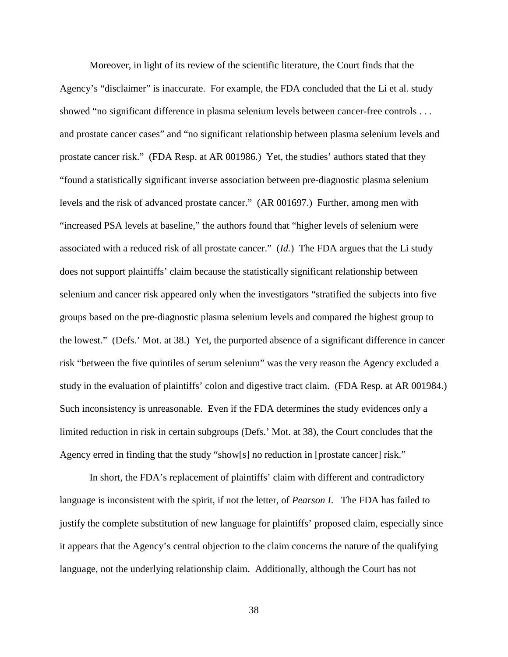Moreover, in light of its review of the scientific literature, the Court finds that the Agency's "disclaimer" is inaccurate. For example, the FDA concluded that the Li et al. study showed "no significant difference in plasma selenium levels between cancer-free controls . . . and prostate cancer cases" and "no significant relationship between plasma selenium levels and prostate cancer risk." (FDA Resp. at AR 001986.) Yet, the studies' authors stated that they "found a statistically significant inverse association between pre-diagnostic plasma selenium levels and the risk of advanced prostate cancer." (AR 001697.) Further, among men with "increased PSA levels at baseline," the authors found that "higher levels of selenium were associated with a reduced risk of all prostate cancer." (*Id.*) The FDA argues that the Li study does not support plaintiffs' claim because the statistically significant relationship between selenium and cancer risk appeared only when the investigators "stratified the subjects into five groups based on the pre-diagnostic plasma selenium levels and compared the highest group to the lowest." (Defs.' Mot. at 38.) Yet, the purported absence of a significant difference in cancer risk "between the five quintiles of serum selenium" was the very reason the Agency excluded a study in the evaluation of plaintiffs' colon and digestive tract claim. (FDA Resp. at AR 001984.) Such inconsistency is unreasonable. Even if the FDA determines the study evidences only a limited reduction in risk in certain subgroups (Defs.' Mot. at 38), the Court concludes that the Agency erred in finding that the study "show[s] no reduction in [prostate cancer] risk."

In short, the FDA's replacement of plaintiffs' claim with different and contradictory language is inconsistent with the spirit, if not the letter, of *Pearson I*. The FDA has failed to justify the complete substitution of new language for plaintiffs' proposed claim, especially since it appears that the Agency's central objection to the claim concerns the nature of the qualifying language, not the underlying relationship claim. Additionally, although the Court has not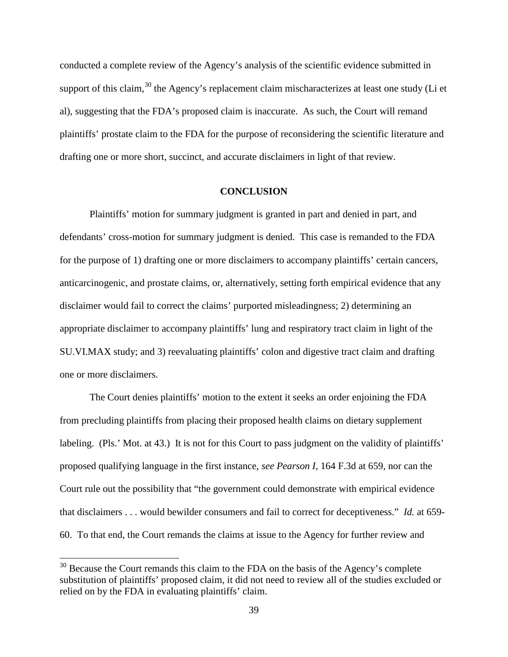conducted a complete review of the Agency's analysis of the scientific evidence submitted in support of this claim,  $30$  the Agency's replacement claim mischaracterizes at least one study (Li et al), suggesting that the FDA's proposed claim is inaccurate. As such, the Court will remand plaintiffs' prostate claim to the FDA for the purpose of reconsidering the scientific literature and drafting one or more short, succinct, and accurate disclaimers in light of that review.

# **CONCLUSION**

Plaintiffs' motion for summary judgment is granted in part and denied in part, and defendants' cross-motion for summary judgment is denied. This case is remanded to the FDA for the purpose of 1) drafting one or more disclaimers to accompany plaintiffs' certain cancers, anticarcinogenic, and prostate claims, or, alternatively, setting forth empirical evidence that any disclaimer would fail to correct the claims' purported misleadingness; 2) determining an appropriate disclaimer to accompany plaintiffs' lung and respiratory tract claim in light of the SU.VI.MAX study; and 3) reevaluating plaintiffs' colon and digestive tract claim and drafting one or more disclaimers.

The Court denies plaintiffs' motion to the extent it seeks an order enjoining the FDA from precluding plaintiffs from placing their proposed health claims on dietary supplement labeling. (Pls.' Mot. at 43.) It is not for this Court to pass judgment on the validity of plaintiffs' proposed qualifying language in the first instance, *see Pearson I*, 164 F.3d at 659, nor can the Court rule out the possibility that "the government could demonstrate with empirical evidence that disclaimers . . . would bewilder consumers and fail to correct for deceptiveness." *Id.* at 659- 60. To that end, the Court remands the claims at issue to the Agency for further review and

<span id="page-38-0"></span> $30$  Because the Court remands this claim to the FDA on the basis of the Agency's complete substitution of plaintiffs' proposed claim, it did not need to review all of the studies excluded or relied on by the FDA in evaluating plaintiffs' claim.